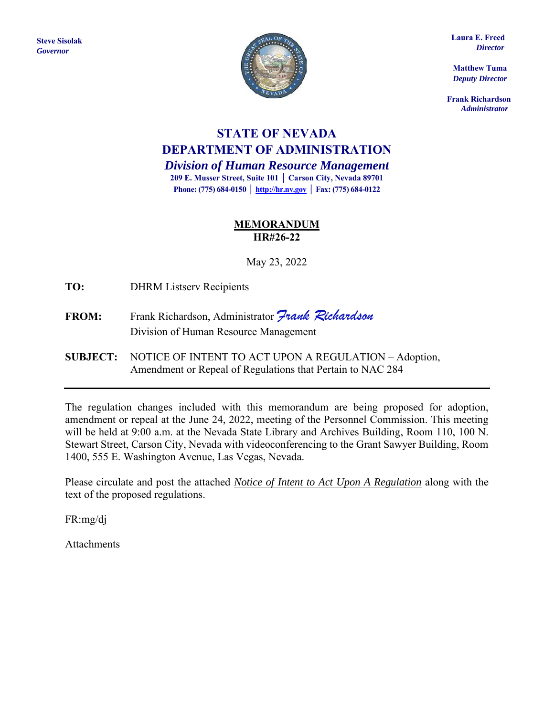

 **Laura E. Freed**  *Director*

**Matthew Tuma** *Deputy Director*

 **Frank Richardson**  *Administrator*

# **STATE OF NEVADA DEPARTMENT OF ADMINISTRATION**

*Division of Human Resource Management* **209 E. Musser Street, Suite 101 │ Carson City, Nevada 89701 Phone: (775) 684-0150 [│ http://hr.nv.gov](http://hr.nv.gov/) │ Fax: (775) 684-0122**

## **MEMORANDUM HR#26-22**

May 23, 2022

**TO:** DHRM Listserv Recipients

- **FROM:** Frank Richardson, Administrator *Frank Richardson* Division of Human Resource Management
- **SUBJECT:** NOTICE OF INTENT TO ACT UPON A REGULATION Adoption, Amendment or Repeal of Regulations that Pertain to NAC 284

The regulation changes included with this memorandum are being proposed for adoption, amendment or repeal at the June 24, 2022, meeting of the Personnel Commission. This meeting will be held at 9:00 a.m. at the Nevada State Library and Archives Building, Room 110, 100 N. Stewart Street, Carson City, Nevada with videoconferencing to the Grant Sawyer Building, Room 1400, 555 E. Washington Avenue, Las Vegas, Nevada.

Please circulate and post the attached *Notice of Intent to Act Upon A Regulation* along with the text of the proposed regulations.

FR:mg/dj

Attachments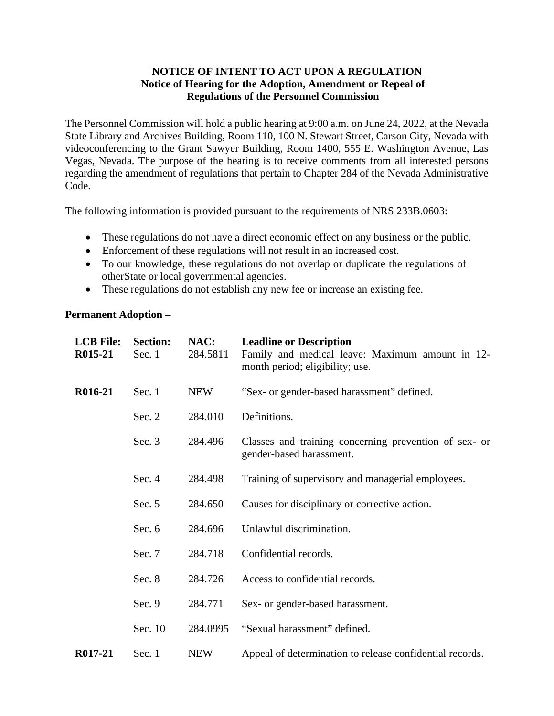## **NOTICE OF INTENT TO ACT UPON A REGULATION Notice of Hearing for the Adoption, Amendment or Repeal of Regulations of the Personnel Commission**

The Personnel Commission will hold a public hearing at 9:00 a.m. on June 24, 2022, at the Nevada State Library and Archives Building, Room 110, 100 N. Stewart Street, Carson City, Nevada with videoconferencing to the Grant Sawyer Building, Room 1400, 555 E. Washington Avenue, Las Vegas, Nevada. The purpose of the hearing is to receive comments from all interested persons regarding the amendment of regulations that pertain to Chapter 284 of the Nevada Administrative Code.

The following information is provided pursuant to the requirements of NRS 233B.0603:

- These regulations do not have a direct economic effect on any business or the public.
- Enforcement of these regulations will not result in an increased cost.
- To our knowledge, these regulations do not overlap or duplicate the regulations of other State or local governmental agencies.
- These regulations do not establish any new fee or increase an existing fee.

## **Permanent Adoption –**

| <b>LCB File:</b><br>R015-21 | <b>Section:</b><br>Sec. 1 | <u>NAC:</u><br>284.5811 | <b>Leadline or Description</b><br>Family and medical leave: Maximum amount in 12-<br>month period; eligibility; use. |
|-----------------------------|---------------------------|-------------------------|----------------------------------------------------------------------------------------------------------------------|
| R016-21                     | Sec. $1$                  | <b>NEW</b>              | "Sex- or gender-based harassment" defined.                                                                           |
|                             | Sec. 2                    | 284.010                 | Definitions.                                                                                                         |
|                             | Sec. $3$                  | 284.496                 | Classes and training concerning prevention of sex- or<br>gender-based harassment.                                    |
|                             | Sec. $4$                  | 284.498                 | Training of supervisory and managerial employees.                                                                    |
|                             | Sec. $5$                  | 284.650                 | Causes for disciplinary or corrective action.                                                                        |
|                             | Sec. $6$                  | 284.696                 | Unlawful discrimination.                                                                                             |
|                             | Sec. 7                    | 284.718                 | Confidential records.                                                                                                |
|                             | Sec. 8                    | 284.726                 | Access to confidential records.                                                                                      |
|                             | Sec. $9$                  | 284.771                 | Sex- or gender-based harassment.                                                                                     |
|                             | Sec. 10                   | 284.0995                | "Sexual harassment" defined.                                                                                         |
| R017-21                     | Sec. $1$                  | <b>NEW</b>              | Appeal of determination to release confidential records.                                                             |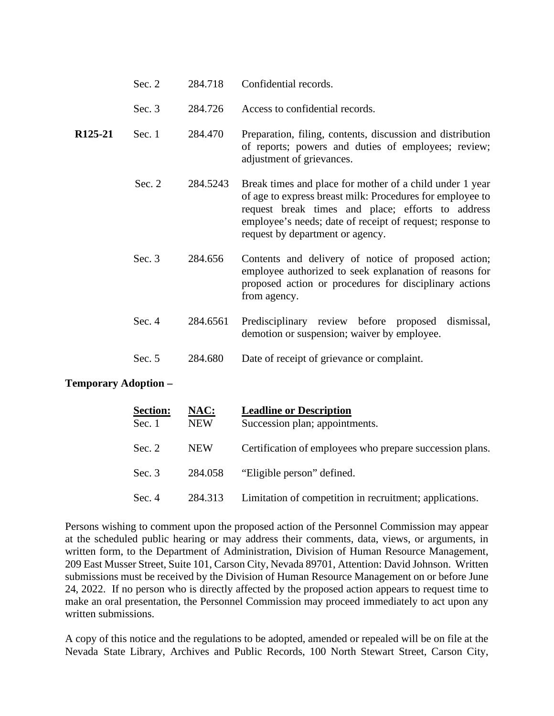|  | Sec. $2$ | 284.718 | Confidential records. |
|--|----------|---------|-----------------------|
|--|----------|---------|-----------------------|

- Sec. 3 284.726 Access to confidential records.
- **R125-21**  Sec. 1 284.470 Preparation, filing, contents, discussion and distribution of reports; powers and duties of employees; review; adjustment of grievances.
	- Sec. 2 284.5243 Break times and place for mother of a child under 1 year of age to express breast milk: Procedures for employee to request break times and place; efforts to address employee's needs; date of receipt of request; response to request by department or agency.
	- Sec. 3 284.656 Contents and delivery of notice of proposed action; employee authorized to seek explanation of reasons for proposed action or procedures for disciplinary actions from agency.
	- Sec. 4 284.6561 Predisciplinary review before proposed dismissal, demotion or suspension; waiver by employee.

| Sec. $5$ | 284.680 | Date of receipt of grievance or complaint. |  |
|----------|---------|--------------------------------------------|--|
|----------|---------|--------------------------------------------|--|

### **Temporary Adoption –**

| <b>Section:</b><br>Sec. 1 | NAC:<br><b>NEW</b> | <b>Leadline or Description</b><br>Succession plan; appointments. |
|---------------------------|--------------------|------------------------------------------------------------------|
| Sec. $2$                  | <b>NEW</b>         | Certification of employees who prepare succession plans.         |
| Sec. $3$                  | 284.058            | "Eligible person" defined.                                       |
| Sec. 4                    | 284.313            | Limitation of competition in recruitment; applications.          |

Persons wishing to comment upon the proposed action of the Personnel Commission may appear at the scheduled public hearing or may address their comments, data, views, or arguments, in written form, to the Department of Administration, Division of Human Resource Management, 209 East Musser Street, Suite 101, Carson City, Nevada 89701, Attention: David Johnson. Written submissions must be received by the Division of Human Resource Management on or before June 24, 2022. If no person who is directly affected by the proposed action appears to request time to make an oral presentation, the Personnel Commission may proceed immediately to act upon any written submissions.

A copy of this notice and the regulations to be adopted, amended or repealed will be on file at the Nevada State Library, Archives and Public Records, 100 North Stewart Street, Carson City,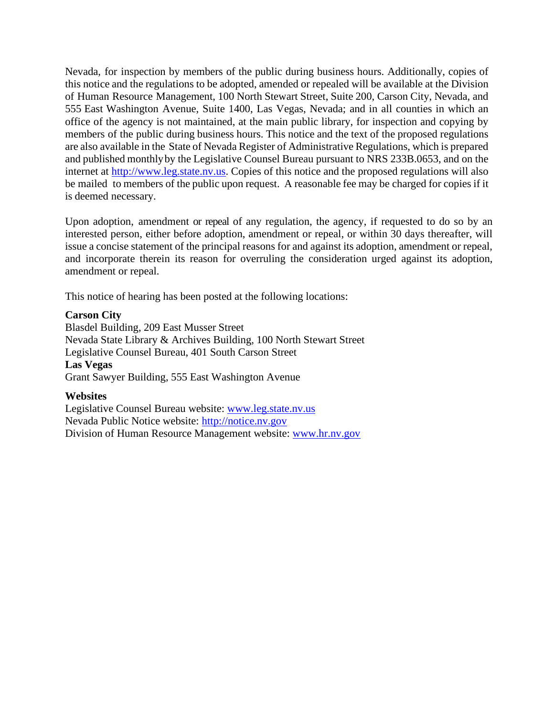Nevada, for inspection by members of the public during business hours. Additionally, copies of this notice and the regulations to be adopted, amended or repealed will be available at the Division of Human Resource Management, 100 North Stewart Street, Suite 200, Carson City, Nevada, and 555 East Washington Avenue, Suite 1400, Las Vegas, Nevada; and in all counties in which an office of the agency is not maintained, at the main public library, for inspection and copying by members of the public during business hours. This notice and the text of the proposed regulations are also available in the State of Nevada Register of Administrative Regulations, which is prepared and published monthly by the Legislative Counsel Bureau pursuant to NRS 233B.0653, and on the internet at [http://www.leg.state.nv.us.](http://www.leg.state.nv.us/) Copies of this notice and the proposed regulations will also be mailed to members of the public upon request. A reasonable fee may be charged for copies if it is deemed necessary.

Upon adoption, amendment or repeal of any regulation, the agency, if requested to do so by an interested person, either before adoption, amendment or repeal, or within 30 days thereafter, will issue a concise statement of the principal reasons for and against its adoption, amendment or repeal, and incorporate therein its reason for overruling the consideration urged against its adoption, amendment or repeal.

This notice of hearing has been posted at the following locations:

### **Carson City**

Blasdel Building, 209 East Musser Street Nevada State Library & Archives Building, 100 North Stewart Street Legislative Counsel Bureau, 401 South Carson Street **Las Vegas**  Grant Sawyer Building, 555 East Washington Avenue

## **Websites**

Legislative Counsel Bureau website: [www.leg.state.nv.us](http://www.leg.state.nv.us/)  Nevada Public Notice website: [http://notice.nv.gov](http://notice.nv.gov/) Division of Human Resource Management website: [www.hr.nv.gov](http://www.hr.nv.gov/)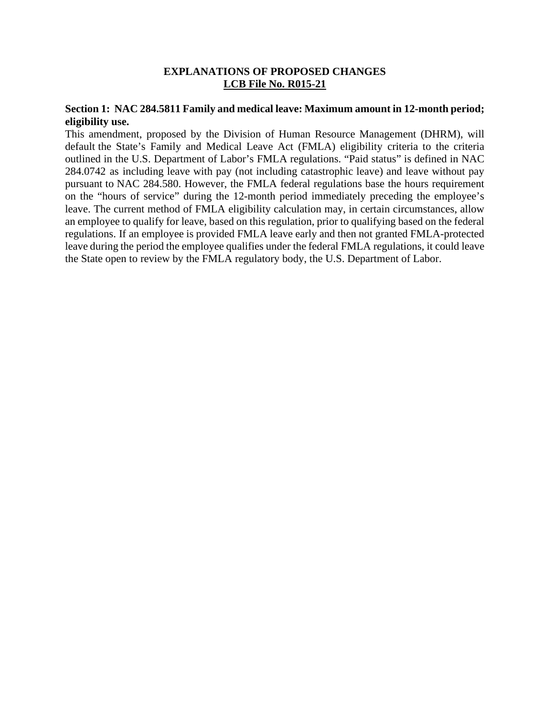## **EXPLANATIONS OF PROPOSED CHANGES LCB File No. R015-21**

## **Section 1: NAC 284.5811 Family and medical leave: Maximum amount in 12-month period; eligibility use.**

This amendment, proposed by the Division of Human Resource Management (DHRM), will default the State's Family and Medical Leave Act (FMLA) eligibility criteria to the criteria outlined in the U.S. Department of Labor's FMLA regulations. "Paid status" is defined in NAC 284.0742 as including leave with pay (not including catastrophic leave) and leave without pay pursuant to NAC 284.580. However, the FMLA federal regulations base the hours requirement on the "hours of service" during the 12-month period immediately preceding the employee's leave. The current method of FMLA eligibility calculation may, in certain circumstances, allow an employee to qualify for leave, based on this regulation, prior to qualifying based on the federal regulations. If an employee is provided FMLA leave early and then not granted FMLA-protected leave during the period the employee qualifies under the federal FMLA regulations, it could leave the State open to review by the FMLA regulatory body, the U.S. Department of Labor.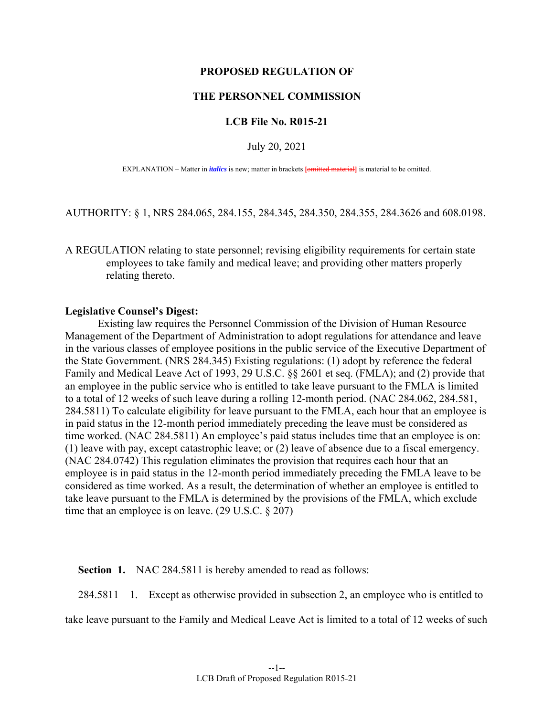#### **PROPOSED REGULATION OF**

### **THE PERSONNEL COMMISSION**

#### **LCB File No. R015-21**

#### July 20, 2021

EXPLANATION – Matter in *italics* is new; matter in brackets **[**omitted material**]** is material to be omitted.

AUTHORITY: § 1, NRS 284.065, 284.155, 284.345, 284.350, 284.355, 284.3626 and 608.0198.

A REGULATION relating to state personnel; revising eligibility requirements for certain state employees to take family and medical leave; and providing other matters properly relating thereto.

#### **Legislative Counsel's Digest:**

 Existing law requires the Personnel Commission of the Division of Human Resource Management of the Department of Administration to adopt regulations for attendance and leave in the various classes of employee positions in the public service of the Executive Department of the State Government. (NRS 284.345) Existing regulations: (1) adopt by reference the federal Family and Medical Leave Act of 1993, 29 U.S.C. §§ 2601 et seq. (FMLA); and (2) provide that an employee in the public service who is entitled to take leave pursuant to the FMLA is limited to a total of 12 weeks of such leave during a rolling 12-month period. (NAC 284.062, 284.581, 284.5811) To calculate eligibility for leave pursuant to the FMLA, each hour that an employee is in paid status in the 12-month period immediately preceding the leave must be considered as time worked. (NAC 284.5811) An employee's paid status includes time that an employee is on: (1) leave with pay, except catastrophic leave; or (2) leave of absence due to a fiscal emergency. (NAC 284.0742) This regulation eliminates the provision that requires each hour that an employee is in paid status in the 12-month period immediately preceding the FMLA leave to be considered as time worked. As a result, the determination of whether an employee is entitled to take leave pursuant to the FMLA is determined by the provisions of the FMLA, which exclude time that an employee is on leave. (29 U.S.C. § 207)

#### **Section 1.** NAC 284.5811 is hereby amended to read as follows:

284.5811 1. Except as otherwise provided in subsection 2, an employee who is entitled to

take leave pursuant to the Family and Medical Leave Act is limited to a total of 12 weeks of such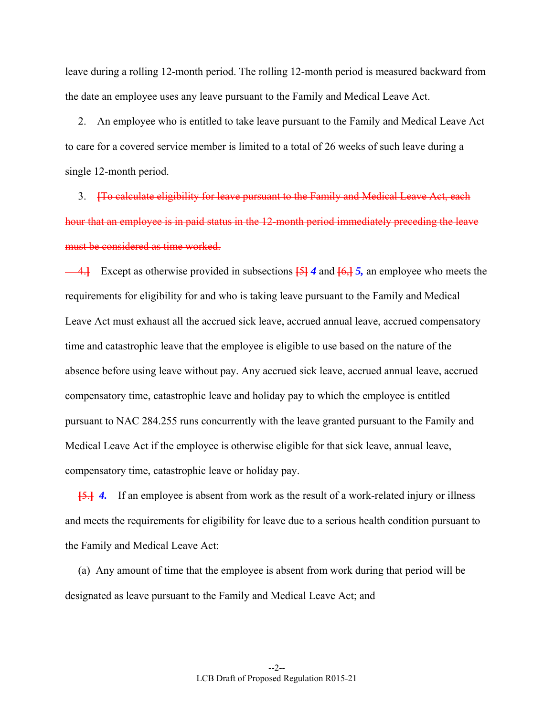leave during a rolling 12-month period. The rolling 12-month period is measured backward from the date an employee uses any leave pursuant to the Family and Medical Leave Act.

 2. An employee who is entitled to take leave pursuant to the Family and Medical Leave Act to care for a covered service member is limited to a total of 26 weeks of such leave during a single 12-month period.

 3. **[**To calculate eligibility for leave pursuant to the Family and Medical Leave Act, each hour that an employee is in paid status in the 12-month period immediately preceding the leave must be considered as time worked.

 4.**]** Except as otherwise provided in subsections **[**5**]** *4* and **[**6,**]** *5,* an employee who meets the requirements for eligibility for and who is taking leave pursuant to the Family and Medical Leave Act must exhaust all the accrued sick leave, accrued annual leave, accrued compensatory time and catastrophic leave that the employee is eligible to use based on the nature of the absence before using leave without pay. Any accrued sick leave, accrued annual leave, accrued compensatory time, catastrophic leave and holiday pay to which the employee is entitled pursuant to NAC 284.255 runs concurrently with the leave granted pursuant to the Family and Medical Leave Act if the employee is otherwise eligible for that sick leave, annual leave, compensatory time, catastrophic leave or holiday pay.

**[**5.**]** *4.* If an employee is absent from work as the result of a work-related injury or illness and meets the requirements for eligibility for leave due to a serious health condition pursuant to the Family and Medical Leave Act:

 (a) Any amount of time that the employee is absent from work during that period will be designated as leave pursuant to the Family and Medical Leave Act; and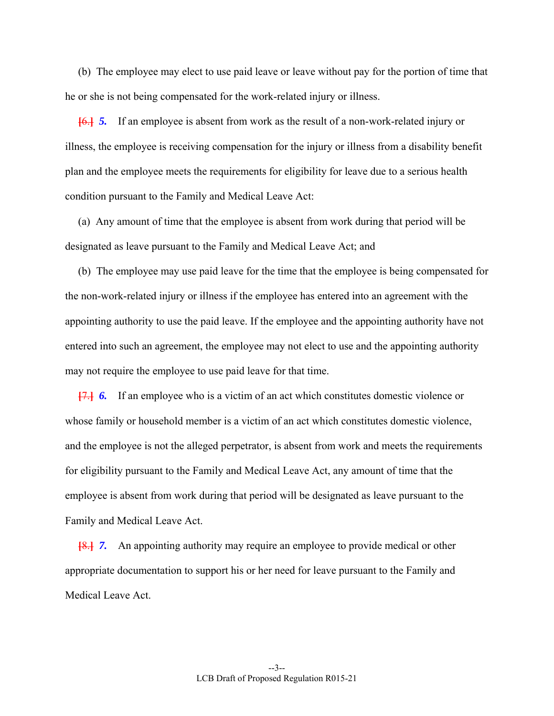(b) The employee may elect to use paid leave or leave without pay for the portion of time that he or she is not being compensated for the work-related injury or illness.

**[**6.**]** *5.* If an employee is absent from work as the result of a non-work-related injury or illness, the employee is receiving compensation for the injury or illness from a disability benefit plan and the employee meets the requirements for eligibility for leave due to a serious health condition pursuant to the Family and Medical Leave Act:

 (a) Any amount of time that the employee is absent from work during that period will be designated as leave pursuant to the Family and Medical Leave Act; and

 (b) The employee may use paid leave for the time that the employee is being compensated for the non-work-related injury or illness if the employee has entered into an agreement with the appointing authority to use the paid leave. If the employee and the appointing authority have not entered into such an agreement, the employee may not elect to use and the appointing authority may not require the employee to use paid leave for that time.

**[**7.**]** *6.* If an employee who is a victim of an act which constitutes domestic violence or whose family or household member is a victim of an act which constitutes domestic violence, and the employee is not the alleged perpetrator, is absent from work and meets the requirements for eligibility pursuant to the Family and Medical Leave Act, any amount of time that the employee is absent from work during that period will be designated as leave pursuant to the Family and Medical Leave Act.

**[**8.**]** *7.* An appointing authority may require an employee to provide medical or other appropriate documentation to support his or her need for leave pursuant to the Family and Medical Leave Act.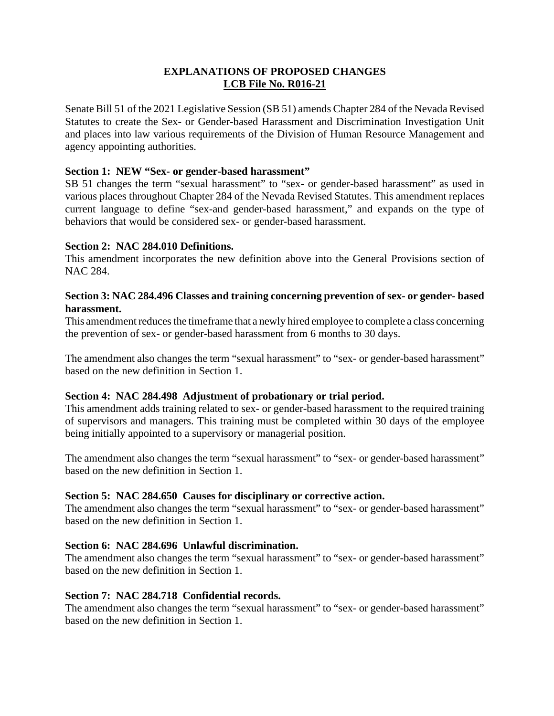## **EXPLANATIONS OF PROPOSED CHANGES LCB File No. R016-21**

Senate Bill 51 of the 2021 Legislative Session (SB 51) amends Chapter 284 of the Nevada Revised Statutes to create the Sex- or Gender-based Harassment and Discrimination Investigation Unit and places into law various requirements of the Division of Human Resource Management and agency appointing authorities.

## **Section 1: NEW "Sex- or gender-based harassment"**

SB 51 changes the term "sexual harassment" to "sex- or gender-based harassment" as used in various places throughout Chapter 284 of the Nevada Revised Statutes. This amendment replaces current language to define "sex-and gender-based harassment," and expands on the type of behaviors that would be considered sex- or gender-based harassment.

## **Section 2: NAC 284.010 Definitions.**

This amendment incorporates the new definition above into the General Provisions section of NAC 284.

## **Section 3: NAC 284.496 Classes and training concerning prevention of sex- or gender- based harassment.**

This amendment reduces the timeframe that a newly hired employee to complete a class concerning the prevention of sex- or gender-based harassment from 6 months to 30 days.

The amendment also changes the term "sexual harassment" to "sex- or gender-based harassment" based on the new definition in Section 1.

## **Section 4: NAC 284.498 Adjustment of probationary or trial period.**

This amendment adds training related to sex- or gender-based harassment to the required training of supervisors and managers. This training must be completed within 30 days of the employee being initially appointed to a supervisory or managerial position.

The amendment also changes the term "sexual harassment" to "sex- or gender-based harassment" based on the new definition in Section 1.

## **Section 5: NAC 284.650 Causes for disciplinary or corrective action.**

The amendment also changes the term "sexual harassment" to "sex- or gender-based harassment" based on the new definition in Section 1.

## **Section 6: NAC 284.696 Unlawful discrimination.**

The amendment also changes the term "sexual harassment" to "sex- or gender-based harassment" based on the new definition in Section 1.

### **Section 7: NAC 284.718 Confidential records.**

The amendment also changes the term "sexual harassment" to "sex- or gender-based harassment" based on the new definition in Section 1.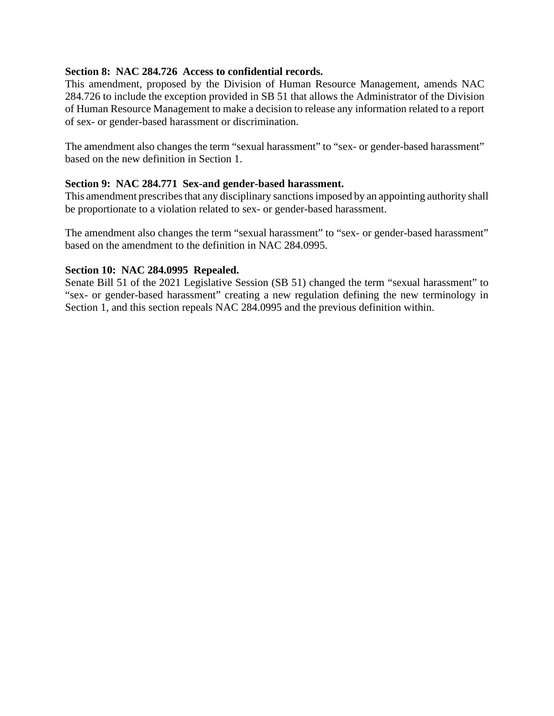## **Section 8: NAC 284.726 Access to confidential records.**

This amendment, proposed by the Division of Human Resource Management, amends NAC 284.726 to include the exception provided in SB 51 that allows the Administrator of the Division of Human Resource Management to make a decision to release any information related to a report of sex- or gender-based harassment or discrimination.

The amendment also changes the term "sexual harassment" to "sex- or gender-based harassment" based on the new definition in Section 1.

## **Section 9: NAC 284.771 Sex-and gender-based harassment.**

This amendment prescribes that any disciplinary sanctions imposed by an appointing authority shall be proportionate to a violation related to sex- or gender-based harassment.

The amendment also changes the term "sexual harassment" to "sex- or gender-based harassment" based on the amendment to the definition in NAC 284.0995.

### **Section 10: NAC 284.0995 Repealed.**

Senate Bill 51 of the 2021 Legislative Session (SB 51) changed the term "sexual harassment" to "sex- or gender-based harassment" creating a new regulation defining the new terminology in Section 1, and this section repeals NAC 284.0995 and the previous definition within.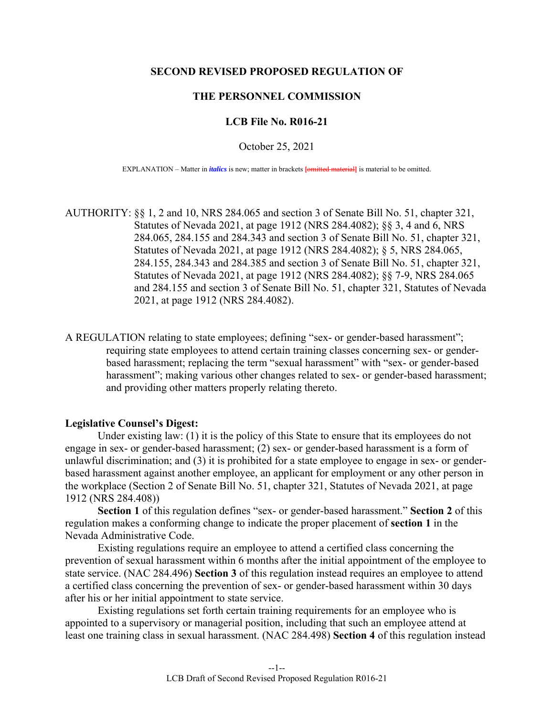#### **SECOND REVISED PROPOSED REGULATION OF**

#### **THE PERSONNEL COMMISSION**

#### **LCB File No. R016-21**

October 25, 2021

EXPLANATION – Matter in *italics* is new; matter in brackets **[**omitted material**]** is material to be omitted.

AUTHORITY: §§ 1, 2 and 10, NRS 284.065 and section 3 of Senate Bill No. 51, chapter 321, Statutes of Nevada 2021, at page 1912 (NRS 284.4082); §§ 3, 4 and 6, NRS 284.065, 284.155 and 284.343 and section 3 of Senate Bill No. 51, chapter 321, Statutes of Nevada 2021, at page 1912 (NRS 284.4082); § 5, NRS 284.065, 284.155, 284.343 and 284.385 and section 3 of Senate Bill No. 51, chapter 321, Statutes of Nevada 2021, at page 1912 (NRS 284.4082); §§ 7-9, NRS 284.065 and 284.155 and section 3 of Senate Bill No. 51, chapter 321, Statutes of Nevada 2021, at page 1912 (NRS 284.4082).

A REGULATION relating to state employees; defining "sex- or gender-based harassment"; requiring state employees to attend certain training classes concerning sex- or genderbased harassment; replacing the term "sexual harassment" with "sex- or gender-based harassment"; making various other changes related to sex- or gender-based harassment; and providing other matters properly relating thereto.

#### **Legislative Counsel's Digest:**

 Under existing law: (1) it is the policy of this State to ensure that its employees do not engage in sex- or gender-based harassment; (2) sex- or gender-based harassment is a form of unlawful discrimination; and (3) it is prohibited for a state employee to engage in sex- or genderbased harassment against another employee, an applicant for employment or any other person in the workplace (Section 2 of Senate Bill No. 51, chapter 321, Statutes of Nevada 2021, at page 1912 (NRS 284.408))

**Section 1** of this regulation defines "sex- or gender-based harassment." **Section 2** of this regulation makes a conforming change to indicate the proper placement of **section 1** in the Nevada Administrative Code.

 Existing regulations require an employee to attend a certified class concerning the prevention of sexual harassment within 6 months after the initial appointment of the employee to state service. (NAC 284.496) **Section 3** of this regulation instead requires an employee to attend a certified class concerning the prevention of sex- or gender-based harassment within 30 days after his or her initial appointment to state service.

 Existing regulations set forth certain training requirements for an employee who is appointed to a supervisory or managerial position, including that such an employee attend at least one training class in sexual harassment. (NAC 284.498) **Section 4** of this regulation instead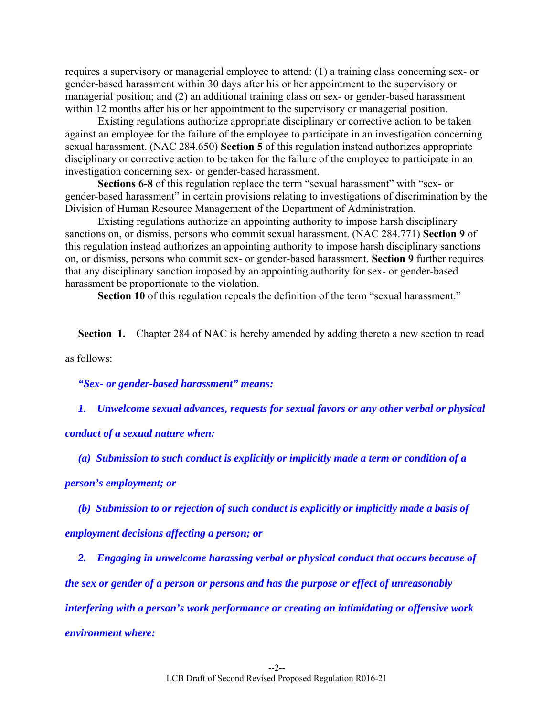requires a supervisory or managerial employee to attend: (1) a training class concerning sex- or gender-based harassment within 30 days after his or her appointment to the supervisory or managerial position; and (2) an additional training class on sex- or gender-based harassment within 12 months after his or her appointment to the supervisory or managerial position.

 Existing regulations authorize appropriate disciplinary or corrective action to be taken against an employee for the failure of the employee to participate in an investigation concerning sexual harassment. (NAC 284.650) **Section 5** of this regulation instead authorizes appropriate disciplinary or corrective action to be taken for the failure of the employee to participate in an investigation concerning sex- or gender-based harassment.

**Sections 6-8** of this regulation replace the term "sexual harassment" with "sex- or gender-based harassment" in certain provisions relating to investigations of discrimination by the Division of Human Resource Management of the Department of Administration.

 Existing regulations authorize an appointing authority to impose harsh disciplinary sanctions on, or dismiss, persons who commit sexual harassment. (NAC 284.771) **Section 9** of this regulation instead authorizes an appointing authority to impose harsh disciplinary sanctions on, or dismiss, persons who commit sex- or gender-based harassment. **Section 9** further requires that any disciplinary sanction imposed by an appointing authority for sex- or gender-based harassment be proportionate to the violation.

**Section 10** of this regulation repeals the definition of the term "sexual harassment."

**Section 1.** Chapter 284 of NAC is hereby amended by adding thereto a new section to read

as follows:

*"Sex- or gender-based harassment" means:* 

 *1. Unwelcome sexual advances, requests for sexual favors or any other verbal or physical* 

*conduct of a sexual nature when:* 

 *(a) Submission to such conduct is explicitly or implicitly made a term or condition of a* 

*person's employment; or* 

 *(b) Submission to or rejection of such conduct is explicitly or implicitly made a basis of employment decisions affecting a person; or* 

 *2. Engaging in unwelcome harassing verbal or physical conduct that occurs because of the sex or gender of a person or persons and has the purpose or effect of unreasonably interfering with a person's work performance or creating an intimidating or offensive work environment where:*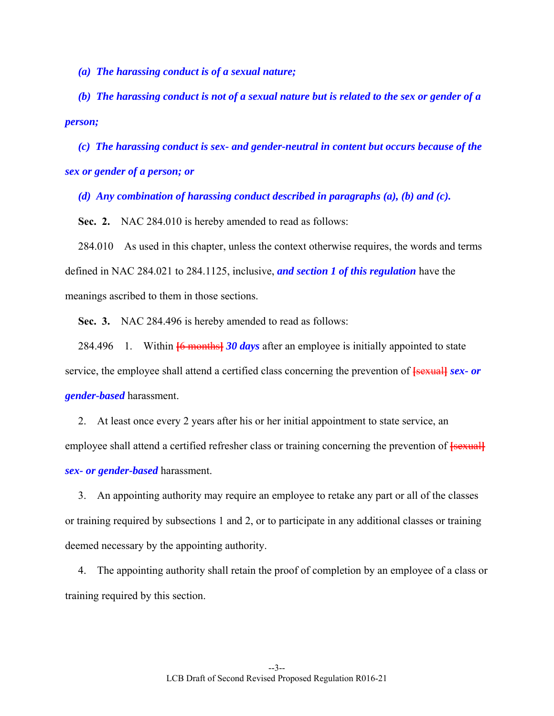*(a) The harassing conduct is of a sexual nature;* 

 *(b) The harassing conduct is not of a sexual nature but is related to the sex or gender of a person;* 

 *(c) The harassing conduct is sex- and gender-neutral in content but occurs because of the sex or gender of a person; or* 

 *(d) Any combination of harassing conduct described in paragraphs (a), (b) and (c).* 

**Sec. 2.** NAC 284.010 is hereby amended to read as follows:

 284.010 As used in this chapter, unless the context otherwise requires, the words and terms defined in NAC 284.021 to 284.1125, inclusive, *and section 1 of this regulation* have the meanings ascribed to them in those sections.

 **Sec. 3.** NAC 284.496 is hereby amended to read as follows:

 284.496 1. Within **[**6 months**]** *30 days* after an employee is initially appointed to state service, the employee shall attend a certified class concerning the prevention of **[**sexual**]** *sex- or gender-based* harassment.

 2. At least once every 2 years after his or her initial appointment to state service, an employee shall attend a certified refresher class or training concerning the prevention of **[**sexual] *sex- or gender-based* harassment.

 3. An appointing authority may require an employee to retake any part or all of the classes or training required by subsections 1 and 2, or to participate in any additional classes or training deemed necessary by the appointing authority.

 4. The appointing authority shall retain the proof of completion by an employee of a class or training required by this section.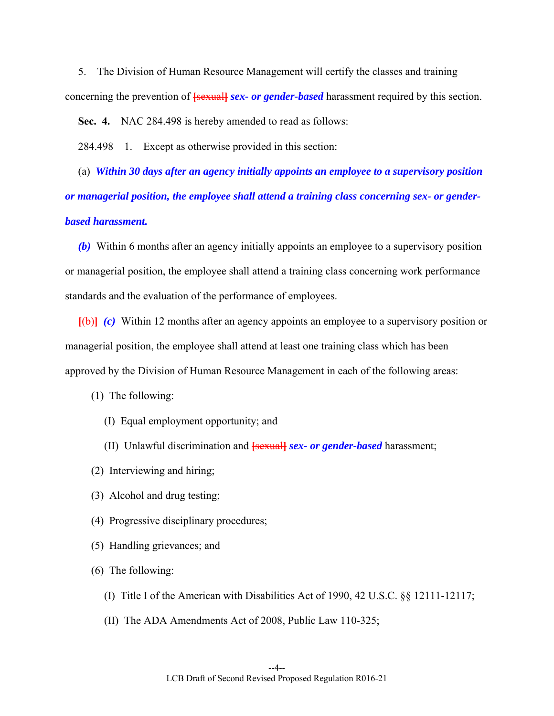5. The Division of Human Resource Management will certify the classes and training concerning the prevention of **[**sexual**]** *sex- or gender-based* harassment required by this section.

 **Sec. 4.** NAC 284.498 is hereby amended to read as follows:

284.498 1. Except as otherwise provided in this section:

 (a) *Within 30 days after an agency initially appoints an employee to a supervisory position or managerial position, the employee shall attend a training class concerning sex- or genderbased harassment.* 

 *(b)* Within 6 months after an agency initially appoints an employee to a supervisory position or managerial position, the employee shall attend a training class concerning work performance standards and the evaluation of the performance of employees.

**[**(b)**]** *(c)* Within 12 months after an agency appoints an employee to a supervisory position or managerial position, the employee shall attend at least one training class which has been approved by the Division of Human Resource Management in each of the following areas:

(1) The following:

- (I) Equal employment opportunity; and
- (II) Unlawful discrimination and **[**sexual**]** *sex- or gender-based* harassment;
- (2) Interviewing and hiring;
- (3) Alcohol and drug testing;
- (4) Progressive disciplinary procedures;
- (5) Handling grievances; and
- (6) The following:
	- (I) Title I of the American with Disabilities Act of 1990, 42 U.S.C. §§ 12111-12117;
	- (II) The ADA Amendments Act of 2008, Public Law 110-325;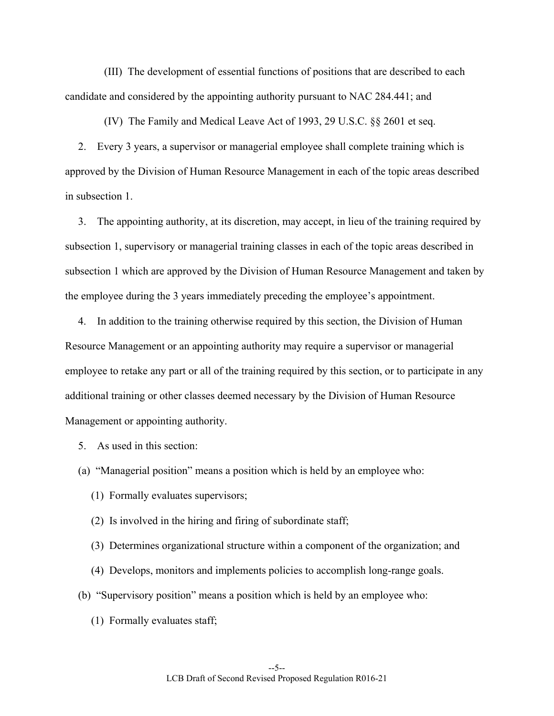(III) The development of essential functions of positions that are described to each candidate and considered by the appointing authority pursuant to NAC 284.441; and

(IV) The Family and Medical Leave Act of 1993, 29 U.S.C. §§ 2601 et seq.

 2. Every 3 years, a supervisor or managerial employee shall complete training which is approved by the Division of Human Resource Management in each of the topic areas described in subsection 1.

 3. The appointing authority, at its discretion, may accept, in lieu of the training required by subsection 1, supervisory or managerial training classes in each of the topic areas described in subsection 1 which are approved by the Division of Human Resource Management and taken by the employee during the 3 years immediately preceding the employee's appointment.

 4. In addition to the training otherwise required by this section, the Division of Human Resource Management or an appointing authority may require a supervisor or managerial employee to retake any part or all of the training required by this section, or to participate in any additional training or other classes deemed necessary by the Division of Human Resource Management or appointing authority.

5. As used in this section:

(a) "Managerial position" means a position which is held by an employee who:

- (1) Formally evaluates supervisors;
- (2) Is involved in the hiring and firing of subordinate staff;
- (3) Determines organizational structure within a component of the organization; and
- (4) Develops, monitors and implements policies to accomplish long-range goals.
- (b) "Supervisory position" means a position which is held by an employee who:
	- (1) Formally evaluates staff;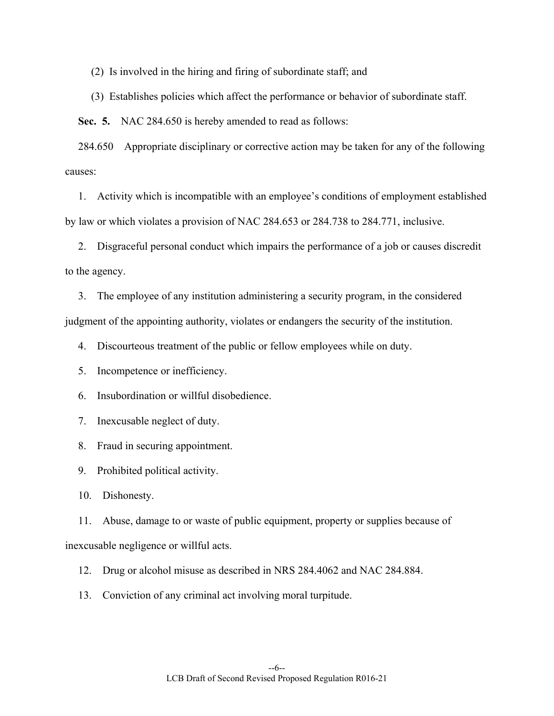(2) Is involved in the hiring and firing of subordinate staff; and

(3) Establishes policies which affect the performance or behavior of subordinate staff.

 **Sec. 5.** NAC 284.650 is hereby amended to read as follows:

 284.650 Appropriate disciplinary or corrective action may be taken for any of the following causes:

 1. Activity which is incompatible with an employee's conditions of employment established by law or which violates a provision of NAC 284.653 or 284.738 to 284.771, inclusive.

 2. Disgraceful personal conduct which impairs the performance of a job or causes discredit to the agency.

 3. The employee of any institution administering a security program, in the considered judgment of the appointing authority, violates or endangers the security of the institution.

4. Discourteous treatment of the public or fellow employees while on duty.

5. Incompetence or inefficiency.

6. Insubordination or willful disobedience.

7. Inexcusable neglect of duty.

8. Fraud in securing appointment.

9. Prohibited political activity.

10. Dishonesty.

 11. Abuse, damage to or waste of public equipment, property or supplies because of inexcusable negligence or willful acts.

- 12. Drug or alcohol misuse as described in NRS 284.4062 and NAC 284.884.
- 13. Conviction of any criminal act involving moral turpitude.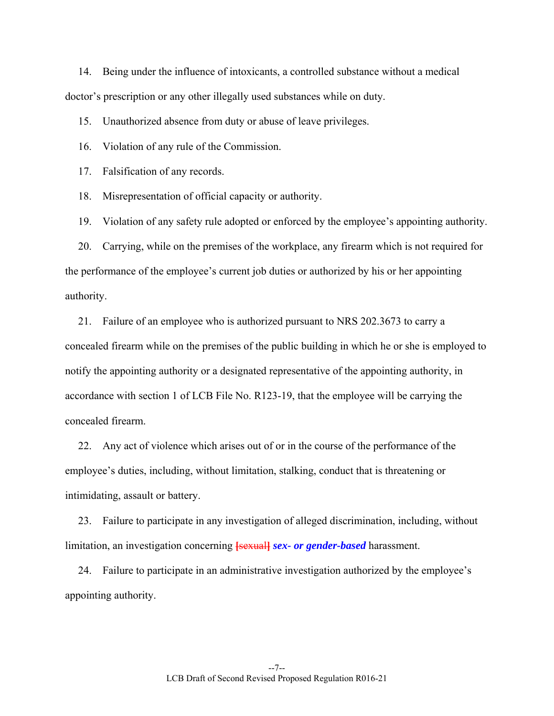14. Being under the influence of intoxicants, a controlled substance without a medical doctor's prescription or any other illegally used substances while on duty.

15. Unauthorized absence from duty or abuse of leave privileges.

16. Violation of any rule of the Commission.

17. Falsification of any records.

18. Misrepresentation of official capacity or authority.

19. Violation of any safety rule adopted or enforced by the employee's appointing authority.

 20. Carrying, while on the premises of the workplace, any firearm which is not required for the performance of the employee's current job duties or authorized by his or her appointing authority.

 21. Failure of an employee who is authorized pursuant to NRS 202.3673 to carry a concealed firearm while on the premises of the public building in which he or she is employed to notify the appointing authority or a designated representative of the appointing authority, in accordance with section 1 of LCB File No. R123-19, that the employee will be carrying the concealed firearm.

 22. Any act of violence which arises out of or in the course of the performance of the employee's duties, including, without limitation, stalking, conduct that is threatening or intimidating, assault or battery.

 23. Failure to participate in any investigation of alleged discrimination, including, without limitation, an investigation concerning **[sexual]** *sex-* or gender-based harassment.

 24. Failure to participate in an administrative investigation authorized by the employee's appointing authority.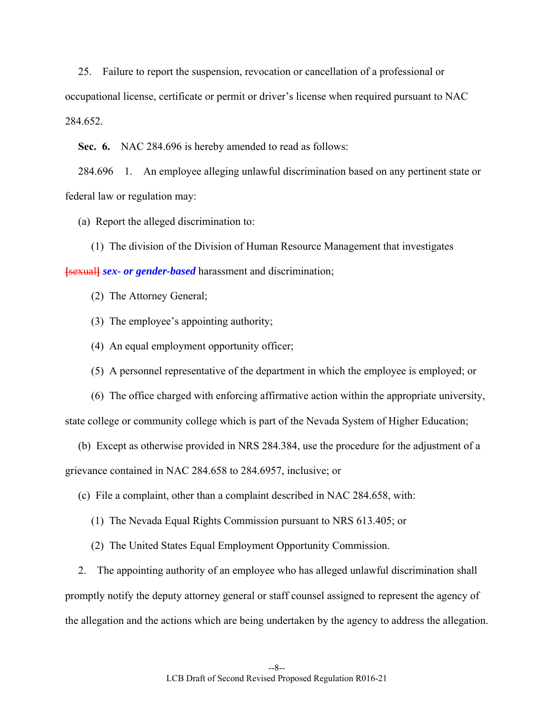25. Failure to report the suspension, revocation or cancellation of a professional or occupational license, certificate or permit or driver's license when required pursuant to NAC 284.652.

 **Sec. 6.** NAC 284.696 is hereby amended to read as follows:

 284.696 1. An employee alleging unlawful discrimination based on any pertinent state or federal law or regulation may:

(a) Report the alleged discrimination to:

(1) The division of the Division of Human Resource Management that investigates

**[sexual]** *sex- or gender-based* harassment and discrimination;

(2) The Attorney General;

- (3) The employee's appointing authority;
- (4) An equal employment opportunity officer;
- (5) A personnel representative of the department in which the employee is employed; or

 (6) The office charged with enforcing affirmative action within the appropriate university, state college or community college which is part of the Nevada System of Higher Education;

 (b) Except as otherwise provided in NRS 284.384, use the procedure for the adjustment of a grievance contained in NAC 284.658 to 284.6957, inclusive; or

(c) File a complaint, other than a complaint described in NAC 284.658, with:

(1) The Nevada Equal Rights Commission pursuant to NRS 613.405; or

(2) The United States Equal Employment Opportunity Commission.

 2. The appointing authority of an employee who has alleged unlawful discrimination shall promptly notify the deputy attorney general or staff counsel assigned to represent the agency of the allegation and the actions which are being undertaken by the agency to address the allegation.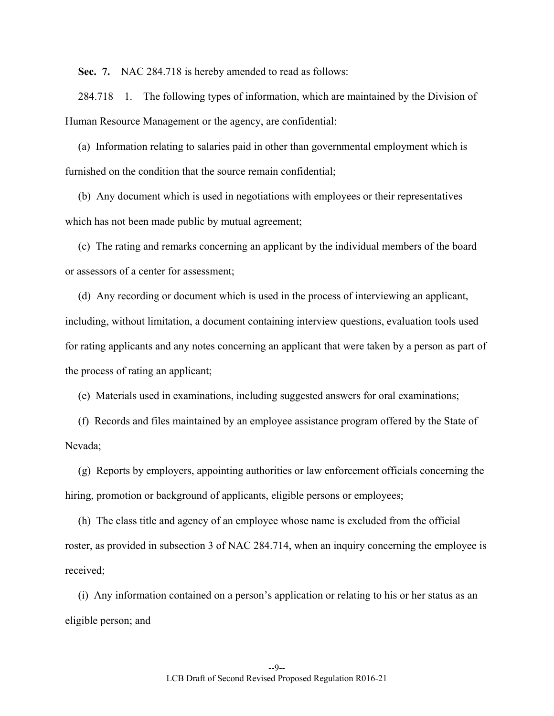**Sec. 7.** NAC 284.718 is hereby amended to read as follows:

 284.718 1. The following types of information, which are maintained by the Division of Human Resource Management or the agency, are confidential:

 (a) Information relating to salaries paid in other than governmental employment which is furnished on the condition that the source remain confidential;

 (b) Any document which is used in negotiations with employees or their representatives which has not been made public by mutual agreement;

 (c) The rating and remarks concerning an applicant by the individual members of the board or assessors of a center for assessment;

 (d) Any recording or document which is used in the process of interviewing an applicant, including, without limitation, a document containing interview questions, evaluation tools used for rating applicants and any notes concerning an applicant that were taken by a person as part of the process of rating an applicant;

(e) Materials used in examinations, including suggested answers for oral examinations;

 (f) Records and files maintained by an employee assistance program offered by the State of Nevada;

 (g) Reports by employers, appointing authorities or law enforcement officials concerning the hiring, promotion or background of applicants, eligible persons or employees;

 (h) The class title and agency of an employee whose name is excluded from the official roster, as provided in subsection 3 of NAC 284.714, when an inquiry concerning the employee is received;

 (i) Any information contained on a person's application or relating to his or her status as an eligible person; and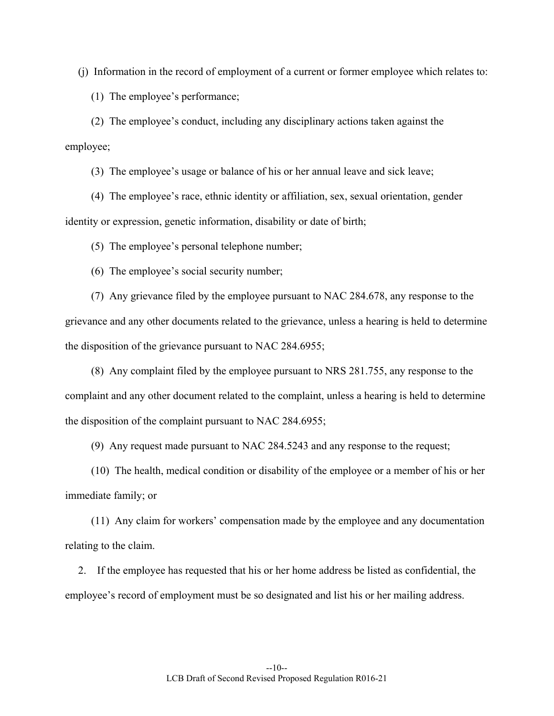(j) Information in the record of employment of a current or former employee which relates to:

(1) The employee's performance;

 (2) The employee's conduct, including any disciplinary actions taken against the employee;

(3) The employee's usage or balance of his or her annual leave and sick leave;

 (4) The employee's race, ethnic identity or affiliation, sex, sexual orientation, gender identity or expression, genetic information, disability or date of birth;

(5) The employee's personal telephone number;

(6) The employee's social security number;

 (7) Any grievance filed by the employee pursuant to NAC 284.678, any response to the grievance and any other documents related to the grievance, unless a hearing is held to determine the disposition of the grievance pursuant to NAC 284.6955;

 (8) Any complaint filed by the employee pursuant to NRS 281.755, any response to the complaint and any other document related to the complaint, unless a hearing is held to determine the disposition of the complaint pursuant to NAC 284.6955;

(9) Any request made pursuant to NAC 284.5243 and any response to the request;

 (10) The health, medical condition or disability of the employee or a member of his or her immediate family; or

 (11) Any claim for workers' compensation made by the employee and any documentation relating to the claim.

 2. If the employee has requested that his or her home address be listed as confidential, the employee's record of employment must be so designated and list his or her mailing address.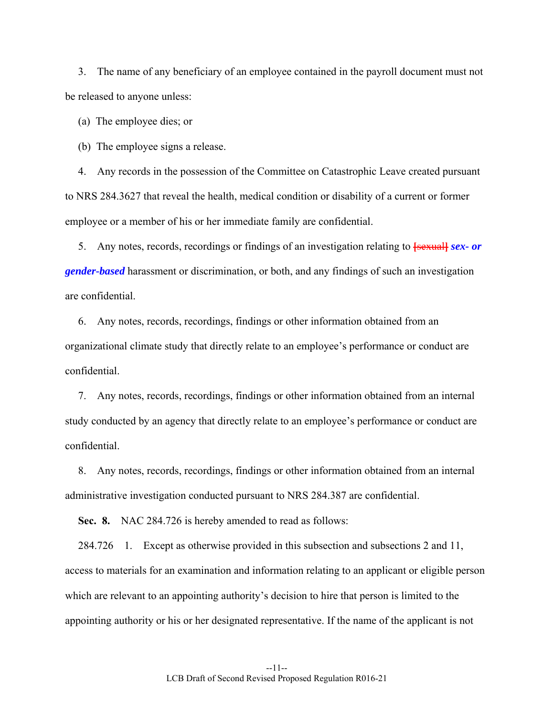3. The name of any beneficiary of an employee contained in the payroll document must not be released to anyone unless:

(a) The employee dies; or

(b) The employee signs a release.

 4. Any records in the possession of the Committee on Catastrophic Leave created pursuant to NRS 284.3627 that reveal the health, medical condition or disability of a current or former employee or a member of his or her immediate family are confidential.

 5. Any notes, records, recordings or findings of an investigation relating to **[**sexual**]** *sex- or gender-based* harassment or discrimination, or both, and any findings of such an investigation are confidential.

 6. Any notes, records, recordings, findings or other information obtained from an organizational climate study that directly relate to an employee's performance or conduct are confidential.

 7. Any notes, records, recordings, findings or other information obtained from an internal study conducted by an agency that directly relate to an employee's performance or conduct are confidential.

 8. Any notes, records, recordings, findings or other information obtained from an internal administrative investigation conducted pursuant to NRS 284.387 are confidential.

 **Sec. 8.** NAC 284.726 is hereby amended to read as follows:

 284.726 1. Except as otherwise provided in this subsection and subsections 2 and 11, access to materials for an examination and information relating to an applicant or eligible person which are relevant to an appointing authority's decision to hire that person is limited to the appointing authority or his or her designated representative. If the name of the applicant is not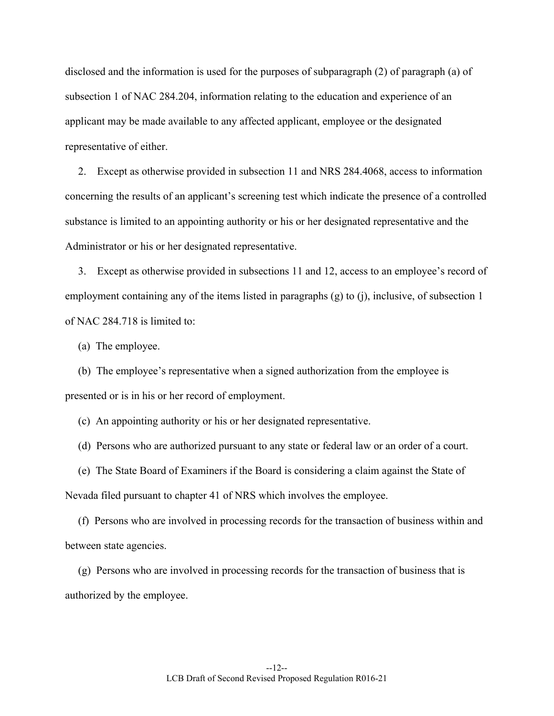disclosed and the information is used for the purposes of subparagraph (2) of paragraph (a) of subsection 1 of NAC 284.204, information relating to the education and experience of an applicant may be made available to any affected applicant, employee or the designated representative of either.

 2. Except as otherwise provided in subsection 11 and NRS 284.4068, access to information concerning the results of an applicant's screening test which indicate the presence of a controlled substance is limited to an appointing authority or his or her designated representative and the Administrator or his or her designated representative.

 3. Except as otherwise provided in subsections 11 and 12, access to an employee's record of employment containing any of the items listed in paragraphs (g) to (j), inclusive, of subsection 1 of NAC 284.718 is limited to:

(a) The employee.

 (b) The employee's representative when a signed authorization from the employee is presented or is in his or her record of employment.

(c) An appointing authority or his or her designated representative.

(d) Persons who are authorized pursuant to any state or federal law or an order of a court.

 (e) The State Board of Examiners if the Board is considering a claim against the State of Nevada filed pursuant to chapter 41 of NRS which involves the employee.

 (f) Persons who are involved in processing records for the transaction of business within and between state agencies.

 (g) Persons who are involved in processing records for the transaction of business that is authorized by the employee.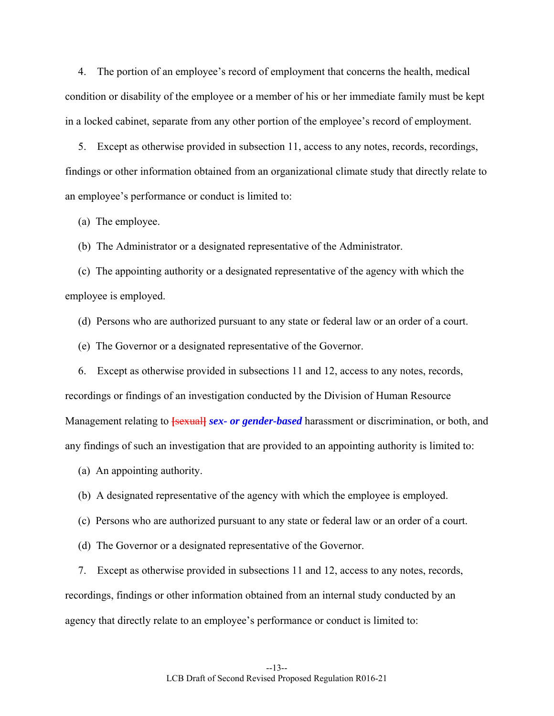4. The portion of an employee's record of employment that concerns the health, medical condition or disability of the employee or a member of his or her immediate family must be kept in a locked cabinet, separate from any other portion of the employee's record of employment.

 5. Except as otherwise provided in subsection 11, access to any notes, records, recordings, findings or other information obtained from an organizational climate study that directly relate to an employee's performance or conduct is limited to:

(a) The employee.

(b) The Administrator or a designated representative of the Administrator.

 (c) The appointing authority or a designated representative of the agency with which the employee is employed.

(d) Persons who are authorized pursuant to any state or federal law or an order of a court.

(e) The Governor or a designated representative of the Governor.

 6. Except as otherwise provided in subsections 11 and 12, access to any notes, records, recordings or findings of an investigation conducted by the Division of Human Resource Management relating to **[sexual]** *sex- or gender-based* harassment or discrimination, or both, and any findings of such an investigation that are provided to an appointing authority is limited to:

(a) An appointing authority.

(b) A designated representative of the agency with which the employee is employed.

(c) Persons who are authorized pursuant to any state or federal law or an order of a court.

(d) The Governor or a designated representative of the Governor.

 7. Except as otherwise provided in subsections 11 and 12, access to any notes, records, recordings, findings or other information obtained from an internal study conducted by an agency that directly relate to an employee's performance or conduct is limited to: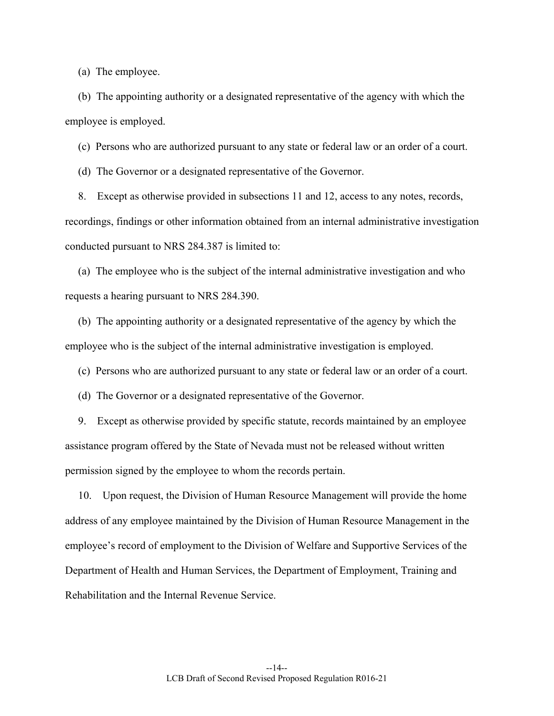(a) The employee.

 (b) The appointing authority or a designated representative of the agency with which the employee is employed.

(c) Persons who are authorized pursuant to any state or federal law or an order of a court.

(d) The Governor or a designated representative of the Governor.

 8. Except as otherwise provided in subsections 11 and 12, access to any notes, records, recordings, findings or other information obtained from an internal administrative investigation conducted pursuant to NRS 284.387 is limited to:

 (a) The employee who is the subject of the internal administrative investigation and who requests a hearing pursuant to NRS 284.390.

 (b) The appointing authority or a designated representative of the agency by which the employee who is the subject of the internal administrative investigation is employed.

(c) Persons who are authorized pursuant to any state or federal law or an order of a court.

(d) The Governor or a designated representative of the Governor.

 9. Except as otherwise provided by specific statute, records maintained by an employee assistance program offered by the State of Nevada must not be released without written permission signed by the employee to whom the records pertain.

 10. Upon request, the Division of Human Resource Management will provide the home address of any employee maintained by the Division of Human Resource Management in the employee's record of employment to the Division of Welfare and Supportive Services of the Department of Health and Human Services, the Department of Employment, Training and Rehabilitation and the Internal Revenue Service.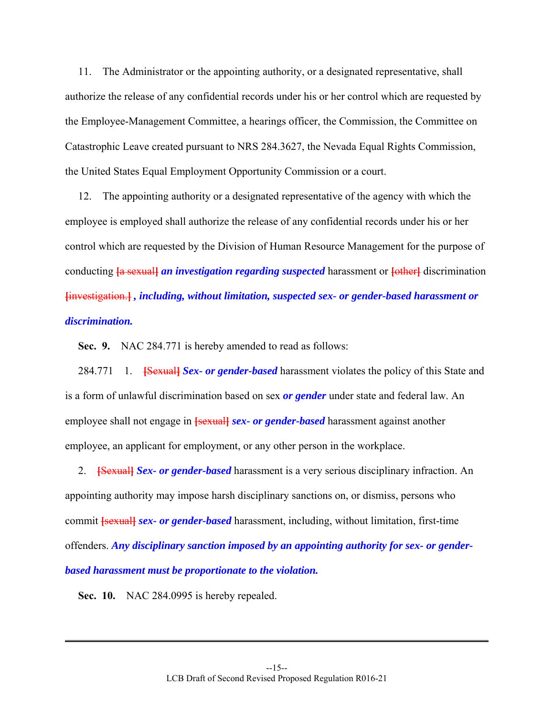11. The Administrator or the appointing authority, or a designated representative, shall authorize the release of any confidential records under his or her control which are requested by the Employee-Management Committee, a hearings officer, the Commission, the Committee on Catastrophic Leave created pursuant to NRS 284.3627, the Nevada Equal Rights Commission, the United States Equal Employment Opportunity Commission or a court.

 12. The appointing authority or a designated representative of the agency with which the employee is employed shall authorize the release of any confidential records under his or her control which are requested by the Division of Human Resource Management for the purpose of conducting  $\frac{1}{4}$  sexuall *an investigation regarding suspected* harassment or  $\frac{1}{2}$  discrimination **[**investigation.**]** *, including, without limitation, suspected sex- or gender-based harassment or discrimination.*

 **Sec. 9.** NAC 284.771 is hereby amended to read as follows:

284.771 1. **[Sexual]** Sex- or gender-based harassment violates the policy of this State and is a form of unlawful discrimination based on sex *or gender* under state and federal law. An employee shall not engage in **[sexual]** *sex-* or *gender-based* harassment against another employee, an applicant for employment, or any other person in the workplace.

 2. **[**Sexual**]** *Sex- or gender-based* harassment is a very serious disciplinary infraction. An appointing authority may impose harsh disciplinary sanctions on, or dismiss, persons who commit **[**sexual**]** *sex- or gender-based* harassment, including, without limitation, first-time offenders. *Any disciplinary sanction imposed by an appointing authority for sex- or genderbased harassment must be proportionate to the violation.* 

 **Sec. 10.** NAC 284.0995 is hereby repealed.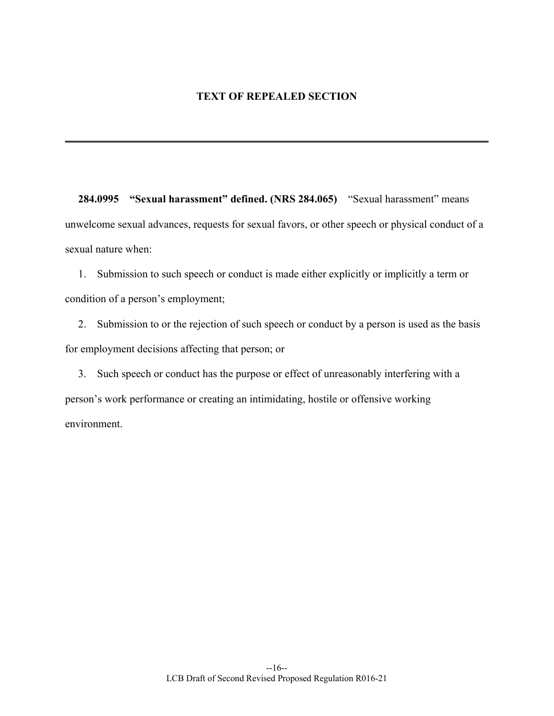## **TEXT OF REPEALED SECTION**

 **284.0995 "Sexual harassment" defined. (NRS 284.065)** "Sexual harassment" means unwelcome sexual advances, requests for sexual favors, or other speech or physical conduct of a sexual nature when:

 1. Submission to such speech or conduct is made either explicitly or implicitly a term or condition of a person's employment;

 2. Submission to or the rejection of such speech or conduct by a person is used as the basis for employment decisions affecting that person; or

 3. Such speech or conduct has the purpose or effect of unreasonably interfering with a person's work performance or creating an intimidating, hostile or offensive working environment.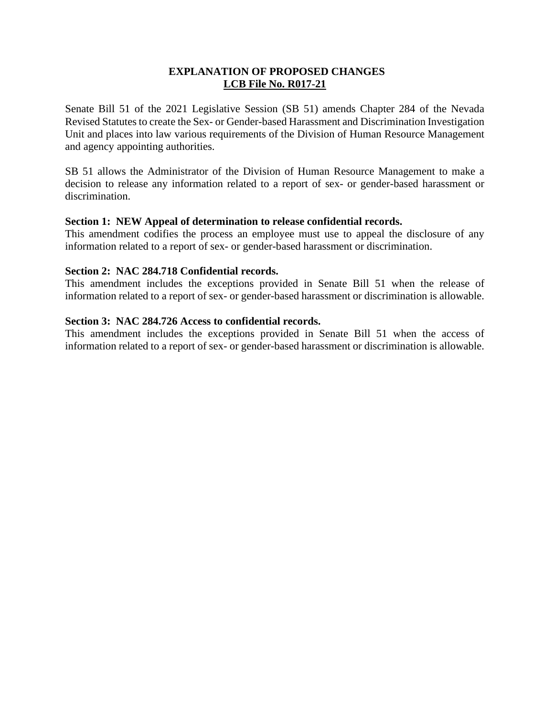## **EXPLANATION OF PROPOSED CHANGES LCB File No. R017-21**

Senate Bill 51 of the 2021 Legislative Session (SB 51) amends Chapter 284 of the Nevada Revised Statutes to create the Sex- or Gender-based Harassment and Discrimination Investigation Unit and places into law various requirements of the Division of Human Resource Management and agency appointing authorities.

SB 51 allows the Administrator of the Division of Human Resource Management to make a decision to release any information related to a report of sex- or gender-based harassment or discrimination.

### **Section 1: NEW Appeal of determination to release confidential records.**

This amendment codifies the process an employee must use to appeal the disclosure of any information related to a report of sex- or gender-based harassment or discrimination.

#### **Section 2: NAC 284.718 Confidential records.**

This amendment includes the exceptions provided in Senate Bill 51 when the release of information related to a report of sex- or gender-based harassment or discrimination is allowable.

#### **Section 3: NAC 284.726 Access to confidential records.**

This amendment includes the exceptions provided in Senate Bill 51 when the access of information related to a report of sex- or gender-based harassment or discrimination is allowable.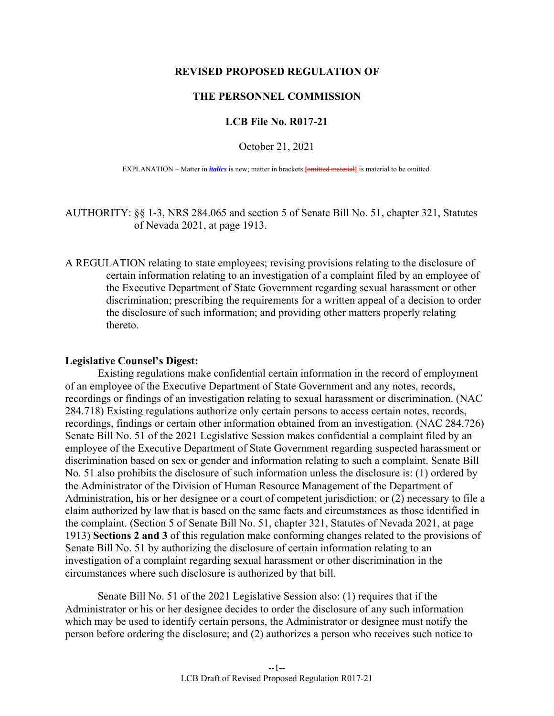#### **REVISED PROPOSED REGULATION OF**

#### **THE PERSONNEL COMMISSION**

#### **LCB File No. R017-21**

October 21, 2021

EXPLANATION – Matter in *italics* is new; matter in brackets [omitted material] is material to be omitted.

AUTHORITY: §§ 1-3, NRS 284.065 and section 5 of Senate Bill No. 51, chapter 321, Statutes of Nevada 2021, at page 1913.

A REGULATION relating to state employees; revising provisions relating to the disclosure of certain information relating to an investigation of a complaint filed by an employee of the Executive Department of State Government regarding sexual harassment or other discrimination; prescribing the requirements for a written appeal of a decision to order the disclosure of such information; and providing other matters properly relating thereto.

#### **Legislative Counsel's Digest:**

 Existing regulations make confidential certain information in the record of employment of an employee of the Executive Department of State Government and any notes, records, recordings or findings of an investigation relating to sexual harassment or discrimination. (NAC 284.718) Existing regulations authorize only certain persons to access certain notes, records, recordings, findings or certain other information obtained from an investigation. (NAC 284.726) Senate Bill No. 51 of the 2021 Legislative Session makes confidential a complaint filed by an employee of the Executive Department of State Government regarding suspected harassment or discrimination based on sex or gender and information relating to such a complaint. Senate Bill No. 51 also prohibits the disclosure of such information unless the disclosure is: (1) ordered by the Administrator of the Division of Human Resource Management of the Department of Administration, his or her designee or a court of competent jurisdiction; or (2) necessary to file a claim authorized by law that is based on the same facts and circumstances as those identified in the complaint. (Section 5 of Senate Bill No. 51, chapter 321, Statutes of Nevada 2021, at page 1913) **Sections 2 and 3** of this regulation make conforming changes related to the provisions of Senate Bill No. 51 by authorizing the disclosure of certain information relating to an investigation of a complaint regarding sexual harassment or other discrimination in the circumstances where such disclosure is authorized by that bill.

 Senate Bill No. 51 of the 2021 Legislative Session also: (1) requires that if the Administrator or his or her designee decides to order the disclosure of any such information which may be used to identify certain persons, the Administrator or designee must notify the person before ordering the disclosure; and (2) authorizes a person who receives such notice to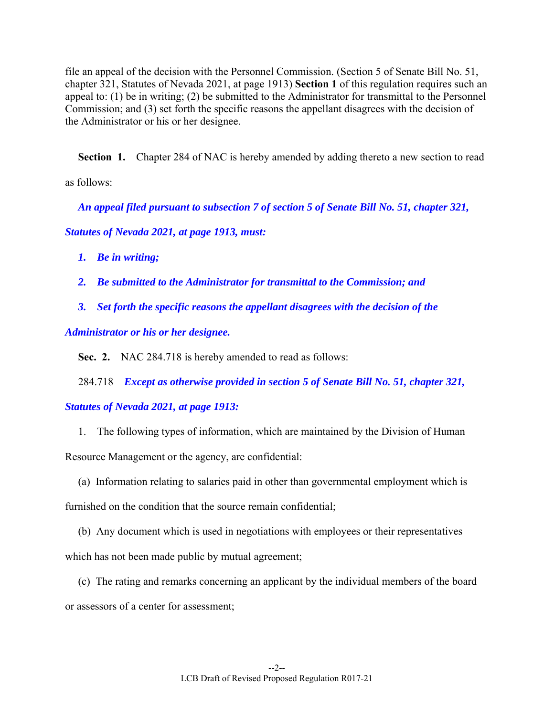file an appeal of the decision with the Personnel Commission. (Section 5 of Senate Bill No. 51, chapter 321, Statutes of Nevada 2021, at page 1913) **Section 1** of this regulation requires such an appeal to: (1) be in writing; (2) be submitted to the Administrator for transmittal to the Personnel Commission; and (3) set forth the specific reasons the appellant disagrees with the decision of the Administrator or his or her designee.

**Section 1.** Chapter 284 of NAC is hereby amended by adding thereto a new section to read

as follows:

*An appeal filed pursuant to subsection 7 of section 5 of Senate Bill No. 51, chapter 321,* 

*Statutes of Nevada 2021, at page 1913, must:* 

- *1. Be in writing;*
- *2. Be submitted to the Administrator for transmittal to the Commission; and*
- *3. Set forth the specific reasons the appellant disagrees with the decision of the*

*Administrator or his or her designee.* 

 **Sec. 2.** NAC 284.718 is hereby amended to read as follows:

284.718 *Except as otherwise provided in section 5 of Senate Bill No. 51, chapter 321,* 

*Statutes of Nevada 2021, at page 1913:* 

1. The following types of information, which are maintained by the Division of Human

Resource Management or the agency, are confidential:

 (a) Information relating to salaries paid in other than governmental employment which is furnished on the condition that the source remain confidential;

 (b) Any document which is used in negotiations with employees or their representatives which has not been made public by mutual agreement;

 (c) The rating and remarks concerning an applicant by the individual members of the board or assessors of a center for assessment;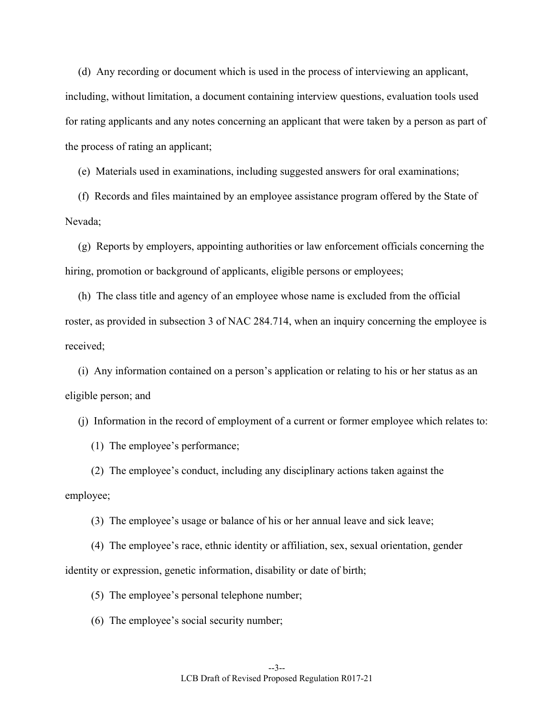(d) Any recording or document which is used in the process of interviewing an applicant, including, without limitation, a document containing interview questions, evaluation tools used for rating applicants and any notes concerning an applicant that were taken by a person as part of the process of rating an applicant;

(e) Materials used in examinations, including suggested answers for oral examinations;

 (f) Records and files maintained by an employee assistance program offered by the State of Nevada;

 (g) Reports by employers, appointing authorities or law enforcement officials concerning the hiring, promotion or background of applicants, eligible persons or employees;

 (h) The class title and agency of an employee whose name is excluded from the official roster, as provided in subsection 3 of NAC 284.714, when an inquiry concerning the employee is received;

 (i) Any information contained on a person's application or relating to his or her status as an eligible person; and

(j) Information in the record of employment of a current or former employee which relates to:

(1) The employee's performance;

 (2) The employee's conduct, including any disciplinary actions taken against the employee;

(3) The employee's usage or balance of his or her annual leave and sick leave;

 (4) The employee's race, ethnic identity or affiliation, sex, sexual orientation, gender identity or expression, genetic information, disability or date of birth;

(5) The employee's personal telephone number;

(6) The employee's social security number;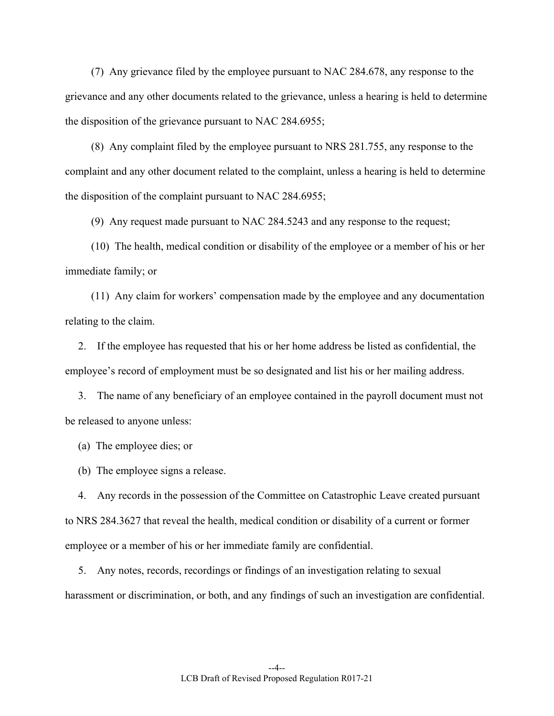(7) Any grievance filed by the employee pursuant to NAC 284.678, any response to the grievance and any other documents related to the grievance, unless a hearing is held to determine the disposition of the grievance pursuant to NAC 284.6955;

 (8) Any complaint filed by the employee pursuant to NRS 281.755, any response to the complaint and any other document related to the complaint, unless a hearing is held to determine the disposition of the complaint pursuant to NAC 284.6955;

(9) Any request made pursuant to NAC 284.5243 and any response to the request;

 (10) The health, medical condition or disability of the employee or a member of his or her immediate family; or

 (11) Any claim for workers' compensation made by the employee and any documentation relating to the claim.

 2. If the employee has requested that his or her home address be listed as confidential, the employee's record of employment must be so designated and list his or her mailing address.

 3. The name of any beneficiary of an employee contained in the payroll document must not be released to anyone unless:

(a) The employee dies; or

(b) The employee signs a release.

 4. Any records in the possession of the Committee on Catastrophic Leave created pursuant to NRS 284.3627 that reveal the health, medical condition or disability of a current or former employee or a member of his or her immediate family are confidential.

 5. Any notes, records, recordings or findings of an investigation relating to sexual harassment or discrimination, or both, and any findings of such an investigation are confidential.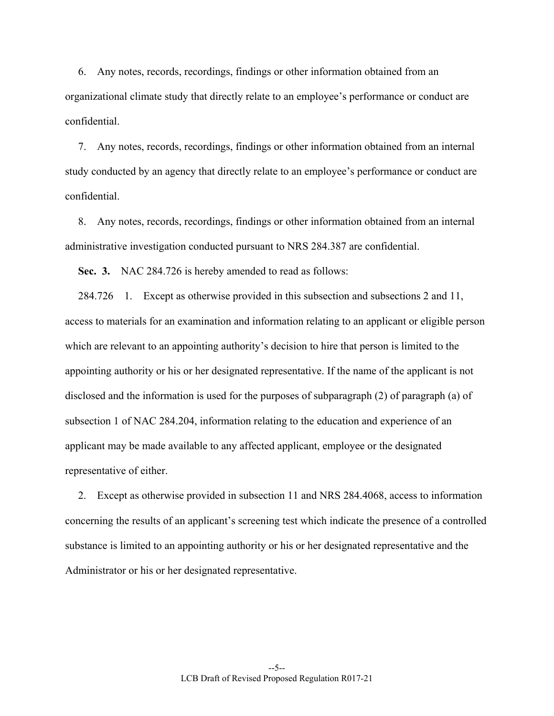6. Any notes, records, recordings, findings or other information obtained from an organizational climate study that directly relate to an employee's performance or conduct are confidential.

 7. Any notes, records, recordings, findings or other information obtained from an internal study conducted by an agency that directly relate to an employee's performance or conduct are confidential.

 8. Any notes, records, recordings, findings or other information obtained from an internal administrative investigation conducted pursuant to NRS 284.387 are confidential.

 **Sec. 3.** NAC 284.726 is hereby amended to read as follows:

 284.726 1. Except as otherwise provided in this subsection and subsections 2 and 11, access to materials for an examination and information relating to an applicant or eligible person which are relevant to an appointing authority's decision to hire that person is limited to the appointing authority or his or her designated representative. If the name of the applicant is not disclosed and the information is used for the purposes of subparagraph (2) of paragraph (a) of subsection 1 of NAC 284.204, information relating to the education and experience of an applicant may be made available to any affected applicant, employee or the designated representative of either.

 2. Except as otherwise provided in subsection 11 and NRS 284.4068, access to information concerning the results of an applicant's screening test which indicate the presence of a controlled substance is limited to an appointing authority or his or her designated representative and the Administrator or his or her designated representative.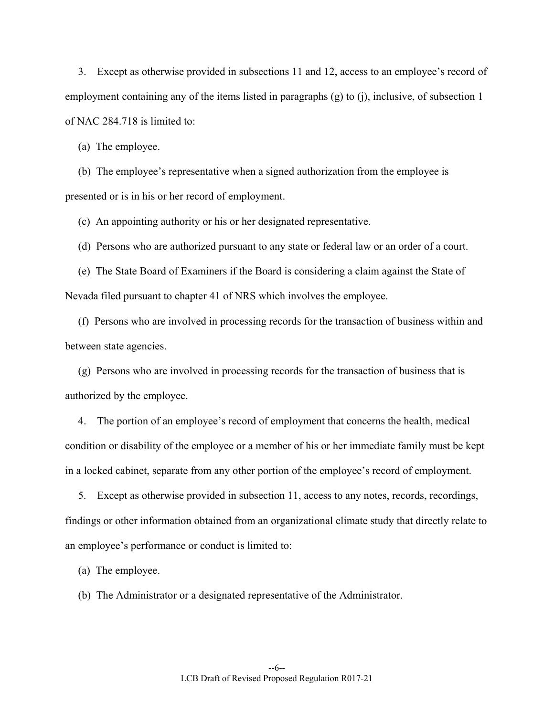3. Except as otherwise provided in subsections 11 and 12, access to an employee's record of employment containing any of the items listed in paragraphs (g) to (j), inclusive, of subsection 1 of NAC 284.718 is limited to:

(a) The employee.

 (b) The employee's representative when a signed authorization from the employee is presented or is in his or her record of employment.

(c) An appointing authority or his or her designated representative.

(d) Persons who are authorized pursuant to any state or federal law or an order of a court.

 (e) The State Board of Examiners if the Board is considering a claim against the State of Nevada filed pursuant to chapter 41 of NRS which involves the employee.

 (f) Persons who are involved in processing records for the transaction of business within and between state agencies.

 (g) Persons who are involved in processing records for the transaction of business that is authorized by the employee.

 4. The portion of an employee's record of employment that concerns the health, medical condition or disability of the employee or a member of his or her immediate family must be kept in a locked cabinet, separate from any other portion of the employee's record of employment.

 5. Except as otherwise provided in subsection 11, access to any notes, records, recordings, findings or other information obtained from an organizational climate study that directly relate to an employee's performance or conduct is limited to:

(a) The employee.

(b) The Administrator or a designated representative of the Administrator.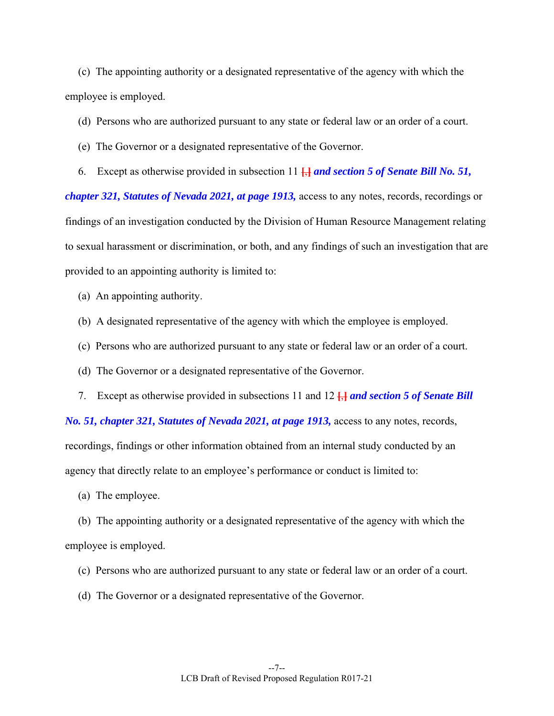(c) The appointing authority or a designated representative of the agency with which the employee is employed.

- (d) Persons who are authorized pursuant to any state or federal law or an order of a court.
- (e) The Governor or a designated representative of the Governor.
- 6. Except as otherwise provided in subsection 11 **[**,**]** *and section 5 of Senate Bill No. 51,*

*chapter 321, Statutes of Nevada 2021, at page 1913,* access to any notes, records, recordings or findings of an investigation conducted by the Division of Human Resource Management relating to sexual harassment or discrimination, or both, and any findings of such an investigation that are provided to an appointing authority is limited to:

- (a) An appointing authority.
- (b) A designated representative of the agency with which the employee is employed.
- (c) Persons who are authorized pursuant to any state or federal law or an order of a court.
- (d) The Governor or a designated representative of the Governor.
- 7. Except as otherwise provided in subsections 11 and 12 **[**,**]** *and section 5 of Senate Bill*

*No. 51, chapter 321, Statutes of Nevada 2021, at page 1913, access to any notes, records,* recordings, findings or other information obtained from an internal study conducted by an agency that directly relate to an employee's performance or conduct is limited to:

(a) The employee.

 (b) The appointing authority or a designated representative of the agency with which the employee is employed.

- (c) Persons who are authorized pursuant to any state or federal law or an order of a court.
- (d) The Governor or a designated representative of the Governor.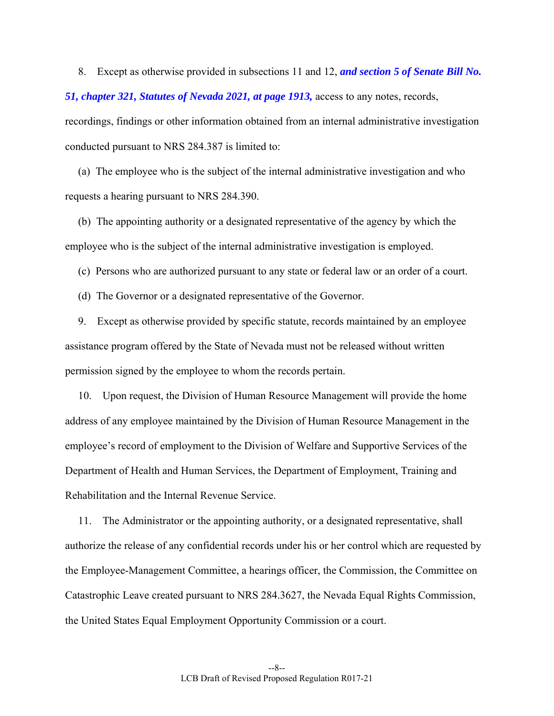8. Except as otherwise provided in subsections 11 and 12, *and section 5 of Senate Bill No. 51, chapter 321, Statutes of Nevada 2021, at page 1913,* access to any notes, records, recordings, findings or other information obtained from an internal administrative investigation conducted pursuant to NRS 284.387 is limited to:

 (a) The employee who is the subject of the internal administrative investigation and who requests a hearing pursuant to NRS 284.390.

 (b) The appointing authority or a designated representative of the agency by which the employee who is the subject of the internal administrative investigation is employed.

(c) Persons who are authorized pursuant to any state or federal law or an order of a court.

(d) The Governor or a designated representative of the Governor.

 9. Except as otherwise provided by specific statute, records maintained by an employee assistance program offered by the State of Nevada must not be released without written permission signed by the employee to whom the records pertain.

 10. Upon request, the Division of Human Resource Management will provide the home address of any employee maintained by the Division of Human Resource Management in the employee's record of employment to the Division of Welfare and Supportive Services of the Department of Health and Human Services, the Department of Employment, Training and Rehabilitation and the Internal Revenue Service.

 11. The Administrator or the appointing authority, or a designated representative, shall authorize the release of any confidential records under his or her control which are requested by the Employee-Management Committee, a hearings officer, the Commission, the Committee on Catastrophic Leave created pursuant to NRS 284.3627, the Nevada Equal Rights Commission, the United States Equal Employment Opportunity Commission or a court.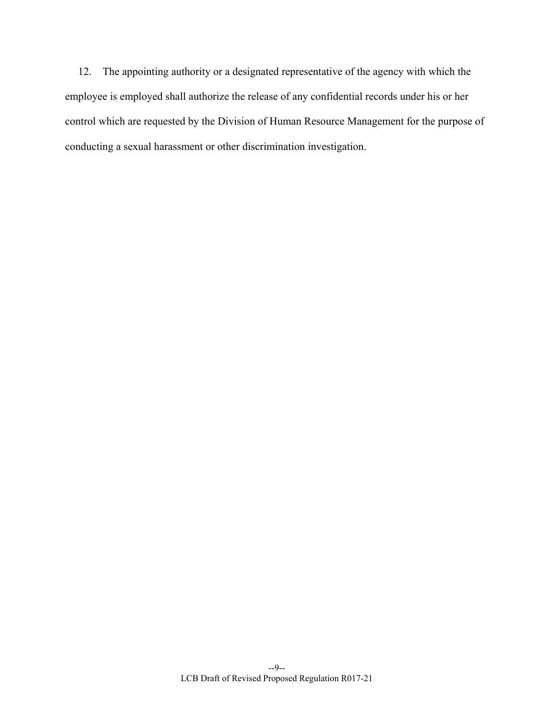12. The appointing authority or a designated representative of the agency with which the employee is employed shall authorize the release of any confidential records under his or her control which are requested by the Division of Human Resource Management for the purpose of conducting a sexual harassment or other discrimination investigation.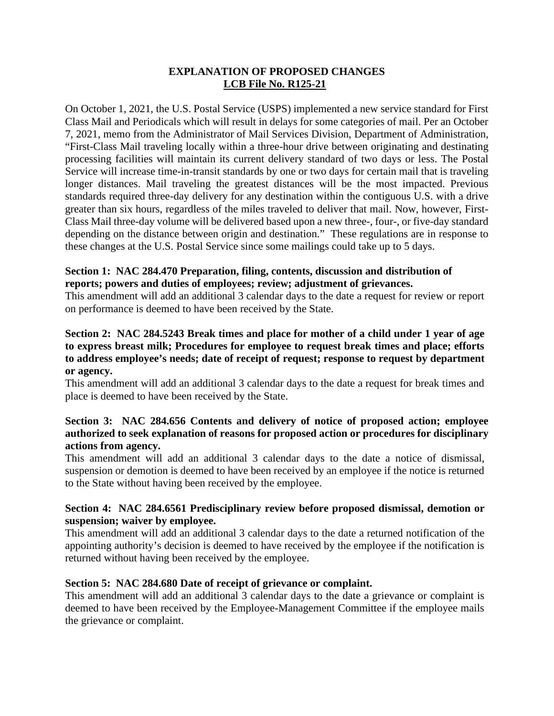## **EXPLANATION OF PROPOSED CHANGES LCB File No. R125-21**

On October 1, 2021, the U.S. Postal Service (USPS) implemented a new service standard for First Class Mail and Periodicals which will result in delays for some categories of mail. Per an October 7, 2021, memo from the Administrator of Mail Services Division, Department of Administration, "First-Class Mail traveling locally within a three-hour drive between originating and destinating processing facilities will maintain its current delivery standard of two days or less. The Postal Service will increase time-in-transit standards by one or two days for certain mail that is traveling longer distances. Mail traveling the greatest distances will be the most impacted. Previous standards required three-day delivery for any destination within the contiguous U.S. with a drive greater than six hours, regardless of the miles traveled to deliver that mail. Now, however, First-Class Mail three-day volume will be delivered based upon a new three-, four-, or five-day standard depending on the distance between origin and destination." These regulations are in response to these changes at the U.S. Postal Service since some mailings could take up to 5 days.

## **Section 1: NAC 284.470 Preparation, filing, contents, discussion and distribution of reports; powers and duties of employees; review; adjustment of grievances.**

This amendment will add an additional 3 calendar days to the date a request for review or report on performance is deemed to have been received by the State.

## **Section 2: NAC 284.5243 Break times and place for mother of a child under 1 year of age to express breast milk; Procedures for employee to request break times and place; efforts to address employee's needs; date of receipt of request; response to request by department or agency.**

This amendment will add an additional 3 calendar days to the date a request for break times and place is deemed to have been received by the State.

## **Section 3: NAC 284.656 Contents and delivery of notice of proposed action; employee authorized to seek explanation of reasons for proposed action or procedures for disciplinary actions from agency.**

This amendment will add an additional 3 calendar days to the date a notice of dismissal, suspension or demotion is deemed to have been received by an employee if the notice is returned to the State without having been received by the employee.

## **Section 4: NAC 284.6561 Predisciplinary review before proposed dismissal, demotion or suspension; waiver by employee.**

This amendment will add an additional 3 calendar days to the date a returned notification of the appointing authority's decision is deemed to have received by the employee if the notification is returned without having been received by the employee.

## **Section 5: NAC 284.680 Date of receipt of grievance or complaint.**

This amendment will add an additional 3 calendar days to the date a grievance or complaint is deemed to have been received by the Employee-Management Committee if the employee mails the grievance or complaint.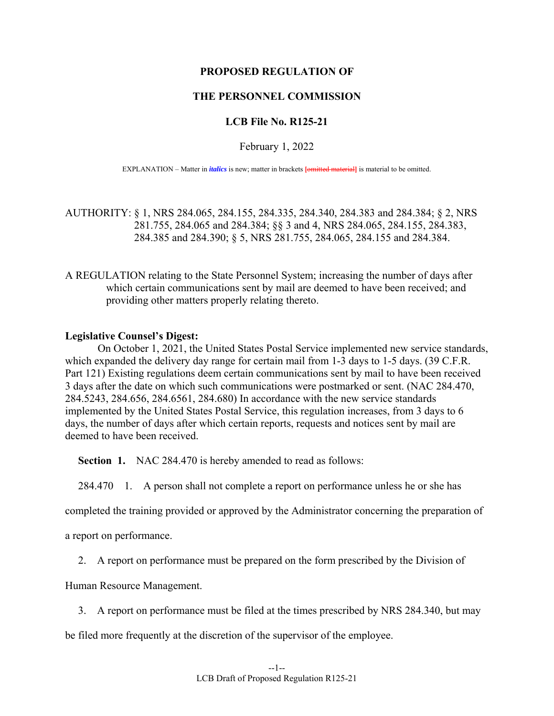#### **PROPOSED REGULATION OF**

#### **THE PERSONNEL COMMISSION**

#### **LCB File No. R125-21**

February 1, 2022

EXPLANATION – Matter in *italics* is new; matter in brackets **[**omitted material**]** is material to be omitted.

AUTHORITY: § 1, NRS 284.065, 284.155, 284.335, 284.340, 284.383 and 284.384; § 2, NRS 281.755, 284.065 and 284.384; §§ 3 and 4, NRS 284.065, 284.155, 284.383, 284.385 and 284.390; § 5, NRS 281.755, 284.065, 284.155 and 284.384.

A REGULATION relating to the State Personnel System; increasing the number of days after which certain communications sent by mail are deemed to have been received; and providing other matters properly relating thereto.

#### **Legislative Counsel's Digest:**

 On October 1, 2021, the United States Postal Service implemented new service standards, which expanded the delivery day range for certain mail from 1-3 days to 1-5 days. (39 C.F.R.) Part 121) Existing regulations deem certain communications sent by mail to have been received 3 days after the date on which such communications were postmarked or sent. (NAC 284.470, 284.5243, 284.656, 284.6561, 284.680) In accordance with the new service standards implemented by the United States Postal Service, this regulation increases, from 3 days to 6 days, the number of days after which certain reports, requests and notices sent by mail are deemed to have been received.

**Section 1.** NAC 284.470 is hereby amended to read as follows:

284.470 1. A person shall not complete a report on performance unless he or she has

completed the training provided or approved by the Administrator concerning the preparation of

a report on performance.

2. A report on performance must be prepared on the form prescribed by the Division of

Human Resource Management.

3. A report on performance must be filed at the times prescribed by NRS 284.340, but may

be filed more frequently at the discretion of the supervisor of the employee.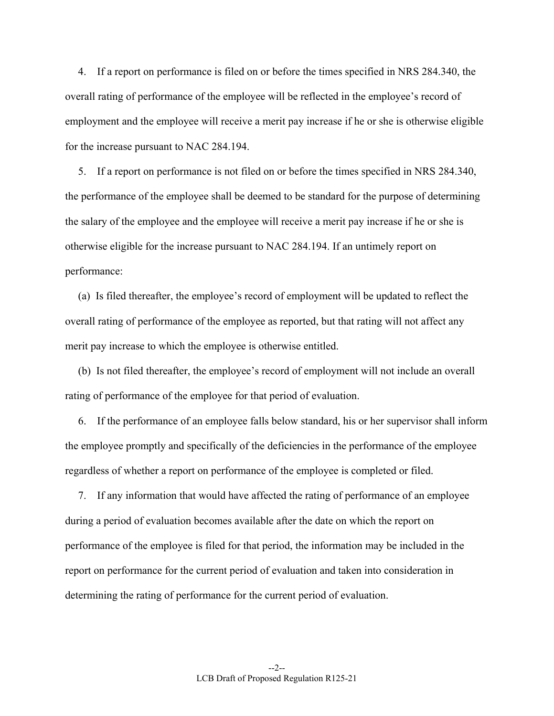4. If a report on performance is filed on or before the times specified in NRS 284.340, the overall rating of performance of the employee will be reflected in the employee's record of employment and the employee will receive a merit pay increase if he or she is otherwise eligible for the increase pursuant to NAC 284.194.

 5. If a report on performance is not filed on or before the times specified in NRS 284.340, the performance of the employee shall be deemed to be standard for the purpose of determining the salary of the employee and the employee will receive a merit pay increase if he or she is otherwise eligible for the increase pursuant to NAC 284.194. If an untimely report on performance:

 (a) Is filed thereafter, the employee's record of employment will be updated to reflect the overall rating of performance of the employee as reported, but that rating will not affect any merit pay increase to which the employee is otherwise entitled.

 (b) Is not filed thereafter, the employee's record of employment will not include an overall rating of performance of the employee for that period of evaluation.

 6. If the performance of an employee falls below standard, his or her supervisor shall inform the employee promptly and specifically of the deficiencies in the performance of the employee regardless of whether a report on performance of the employee is completed or filed.

 7. If any information that would have affected the rating of performance of an employee during a period of evaluation becomes available after the date on which the report on performance of the employee is filed for that period, the information may be included in the report on performance for the current period of evaluation and taken into consideration in determining the rating of performance for the current period of evaluation.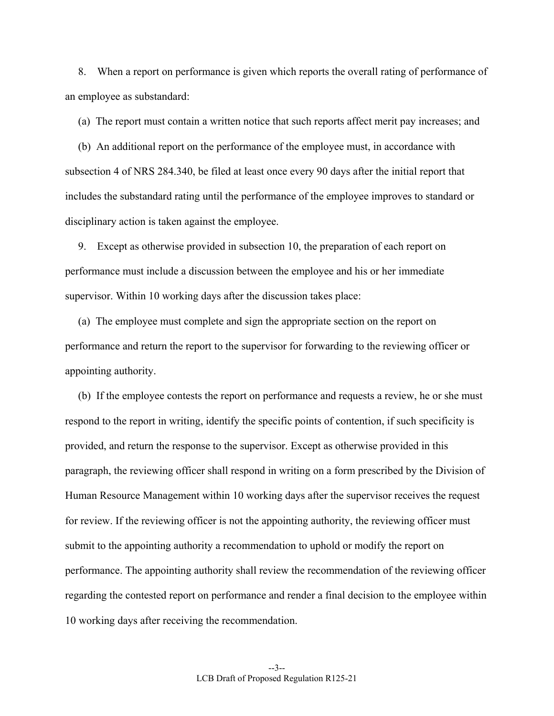8. When a report on performance is given which reports the overall rating of performance of an employee as substandard:

(a) The report must contain a written notice that such reports affect merit pay increases; and

 (b) An additional report on the performance of the employee must, in accordance with subsection 4 of NRS 284.340, be filed at least once every 90 days after the initial report that includes the substandard rating until the performance of the employee improves to standard or disciplinary action is taken against the employee.

 9. Except as otherwise provided in subsection 10, the preparation of each report on performance must include a discussion between the employee and his or her immediate supervisor. Within 10 working days after the discussion takes place:

 (a) The employee must complete and sign the appropriate section on the report on performance and return the report to the supervisor for forwarding to the reviewing officer or appointing authority.

 (b) If the employee contests the report on performance and requests a review, he or she must respond to the report in writing, identify the specific points of contention, if such specificity is provided, and return the response to the supervisor. Except as otherwise provided in this paragraph, the reviewing officer shall respond in writing on a form prescribed by the Division of Human Resource Management within 10 working days after the supervisor receives the request for review. If the reviewing officer is not the appointing authority, the reviewing officer must submit to the appointing authority a recommendation to uphold or modify the report on performance. The appointing authority shall review the recommendation of the reviewing officer regarding the contested report on performance and render a final decision to the employee within 10 working days after receiving the recommendation.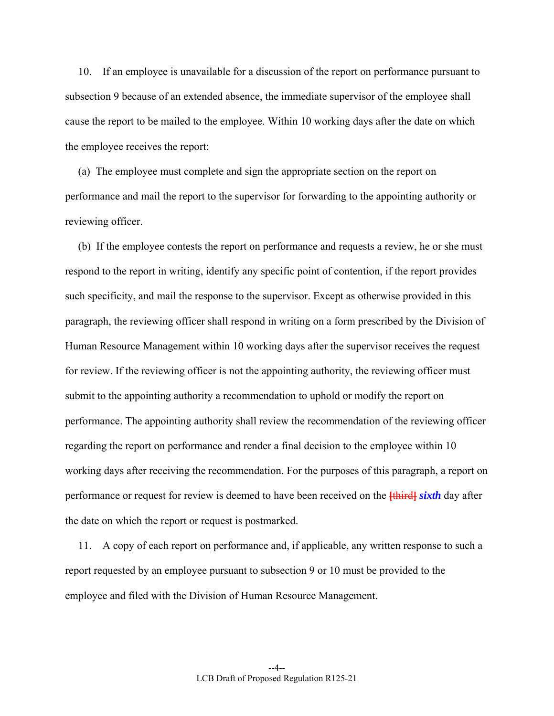10. If an employee is unavailable for a discussion of the report on performance pursuant to subsection 9 because of an extended absence, the immediate supervisor of the employee shall cause the report to be mailed to the employee. Within 10 working days after the date on which the employee receives the report:

 (a) The employee must complete and sign the appropriate section on the report on performance and mail the report to the supervisor for forwarding to the appointing authority or reviewing officer.

 (b) If the employee contests the report on performance and requests a review, he or she must respond to the report in writing, identify any specific point of contention, if the report provides such specificity, and mail the response to the supervisor. Except as otherwise provided in this paragraph, the reviewing officer shall respond in writing on a form prescribed by the Division of Human Resource Management within 10 working days after the supervisor receives the request for review. If the reviewing officer is not the appointing authority, the reviewing officer must submit to the appointing authority a recommendation to uphold or modify the report on performance. The appointing authority shall review the recommendation of the reviewing officer regarding the report on performance and render a final decision to the employee within 10 working days after receiving the recommendation. For the purposes of this paragraph, a report on performance or request for review is deemed to have been received on the **[**third**]** *sixth* day after the date on which the report or request is postmarked.

 11. A copy of each report on performance and, if applicable, any written response to such a report requested by an employee pursuant to subsection 9 or 10 must be provided to the employee and filed with the Division of Human Resource Management.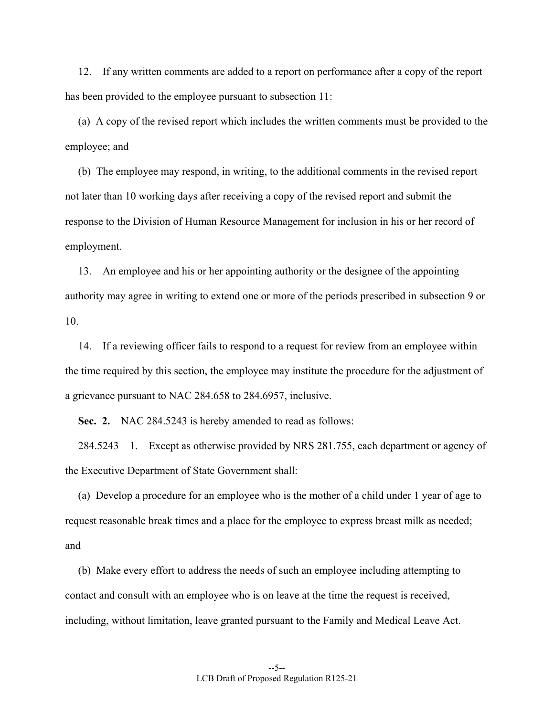12. If any written comments are added to a report on performance after a copy of the report has been provided to the employee pursuant to subsection 11:

 (a) A copy of the revised report which includes the written comments must be provided to the employee; and

 (b) The employee may respond, in writing, to the additional comments in the revised report not later than 10 working days after receiving a copy of the revised report and submit the response to the Division of Human Resource Management for inclusion in his or her record of employment.

 13. An employee and his or her appointing authority or the designee of the appointing authority may agree in writing to extend one or more of the periods prescribed in subsection 9 or 10.

 14. If a reviewing officer fails to respond to a request for review from an employee within the time required by this section, the employee may institute the procedure for the adjustment of a grievance pursuant to NAC 284.658 to 284.6957, inclusive.

 **Sec. 2.** NAC 284.5243 is hereby amended to read as follows:

 284.5243 1. Except as otherwise provided by NRS 281.755, each department or agency of the Executive Department of State Government shall:

 (a) Develop a procedure for an employee who is the mother of a child under 1 year of age to request reasonable break times and a place for the employee to express breast milk as needed; and

 (b) Make every effort to address the needs of such an employee including attempting to contact and consult with an employee who is on leave at the time the request is received, including, without limitation, leave granted pursuant to the Family and Medical Leave Act.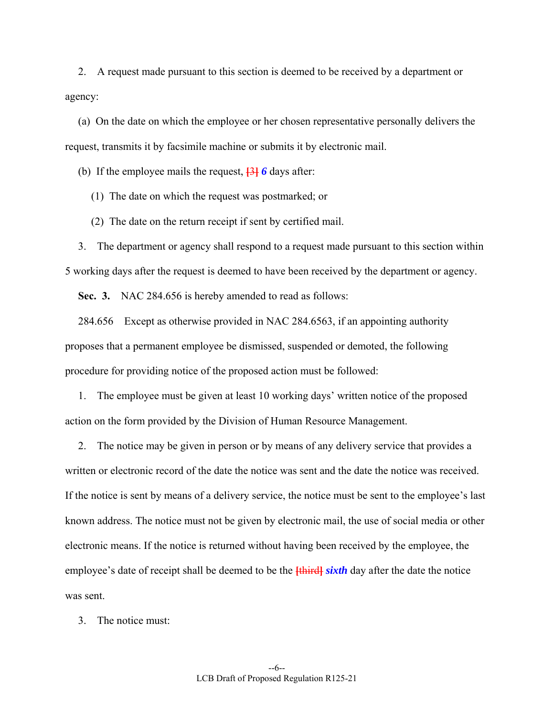2. A request made pursuant to this section is deemed to be received by a department or agency:

 (a) On the date on which the employee or her chosen representative personally delivers the request, transmits it by facsimile machine or submits it by electronic mail.

(b) If the employee mails the request, **[**3**]** *6* days after:

(1) The date on which the request was postmarked; or

(2) The date on the return receipt if sent by certified mail.

 3. The department or agency shall respond to a request made pursuant to this section within 5 working days after the request is deemed to have been received by the department or agency.

 **Sec. 3.** NAC 284.656 is hereby amended to read as follows:

 284.656 Except as otherwise provided in NAC 284.6563, if an appointing authority proposes that a permanent employee be dismissed, suspended or demoted, the following procedure for providing notice of the proposed action must be followed:

 1. The employee must be given at least 10 working days' written notice of the proposed action on the form provided by the Division of Human Resource Management.

 2. The notice may be given in person or by means of any delivery service that provides a written or electronic record of the date the notice was sent and the date the notice was received. If the notice is sent by means of a delivery service, the notice must be sent to the employee's last known address. The notice must not be given by electronic mail, the use of social media or other electronic means. If the notice is returned without having been received by the employee, the employee's date of receipt shall be deemed to be the **[**third**]** *sixth* day after the date the notice was sent.

3. The notice must: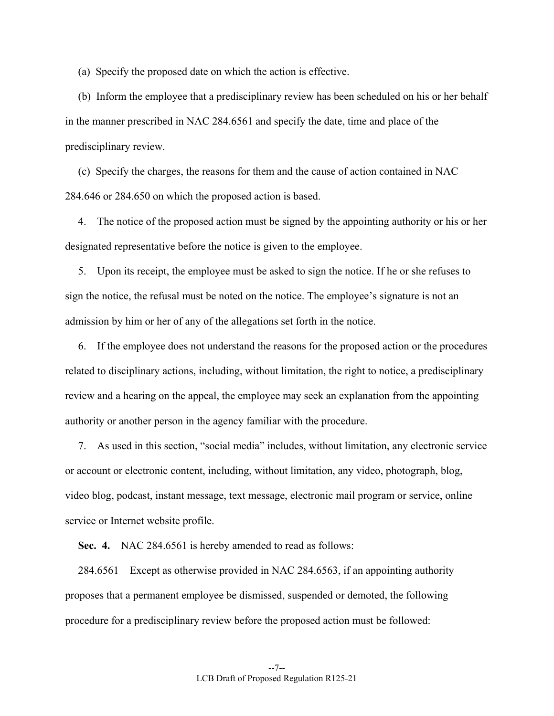(a) Specify the proposed date on which the action is effective.

 (b) Inform the employee that a predisciplinary review has been scheduled on his or her behalf in the manner prescribed in NAC 284.6561 and specify the date, time and place of the predisciplinary review.

 (c) Specify the charges, the reasons for them and the cause of action contained in NAC 284.646 or 284.650 on which the proposed action is based.

 4. The notice of the proposed action must be signed by the appointing authority or his or her designated representative before the notice is given to the employee.

 5. Upon its receipt, the employee must be asked to sign the notice. If he or she refuses to sign the notice, the refusal must be noted on the notice. The employee's signature is not an admission by him or her of any of the allegations set forth in the notice.

 6. If the employee does not understand the reasons for the proposed action or the procedures related to disciplinary actions, including, without limitation, the right to notice, a predisciplinary review and a hearing on the appeal, the employee may seek an explanation from the appointing authority or another person in the agency familiar with the procedure.

 7. As used in this section, "social media" includes, without limitation, any electronic service or account or electronic content, including, without limitation, any video, photograph, blog, video blog, podcast, instant message, text message, electronic mail program or service, online service or Internet website profile.

**Sec. 4.** NAC 284.6561 is hereby amended to read as follows:

 284.6561 Except as otherwise provided in NAC 284.6563, if an appointing authority proposes that a permanent employee be dismissed, suspended or demoted, the following procedure for a predisciplinary review before the proposed action must be followed: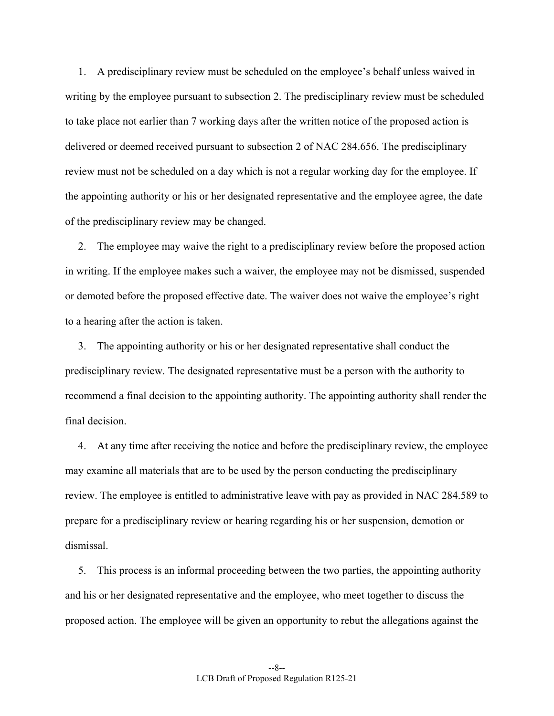1. A predisciplinary review must be scheduled on the employee's behalf unless waived in writing by the employee pursuant to subsection 2. The predisciplinary review must be scheduled to take place not earlier than 7 working days after the written notice of the proposed action is delivered or deemed received pursuant to subsection 2 of NAC 284.656. The predisciplinary review must not be scheduled on a day which is not a regular working day for the employee. If the appointing authority or his or her designated representative and the employee agree, the date of the predisciplinary review may be changed.

 2. The employee may waive the right to a predisciplinary review before the proposed action in writing. If the employee makes such a waiver, the employee may not be dismissed, suspended or demoted before the proposed effective date. The waiver does not waive the employee's right to a hearing after the action is taken.

 3. The appointing authority or his or her designated representative shall conduct the predisciplinary review. The designated representative must be a person with the authority to recommend a final decision to the appointing authority. The appointing authority shall render the final decision.

 4. At any time after receiving the notice and before the predisciplinary review, the employee may examine all materials that are to be used by the person conducting the predisciplinary review. The employee is entitled to administrative leave with pay as provided in NAC 284.589 to prepare for a predisciplinary review or hearing regarding his or her suspension, demotion or dismissal.

 5. This process is an informal proceeding between the two parties, the appointing authority and his or her designated representative and the employee, who meet together to discuss the proposed action. The employee will be given an opportunity to rebut the allegations against the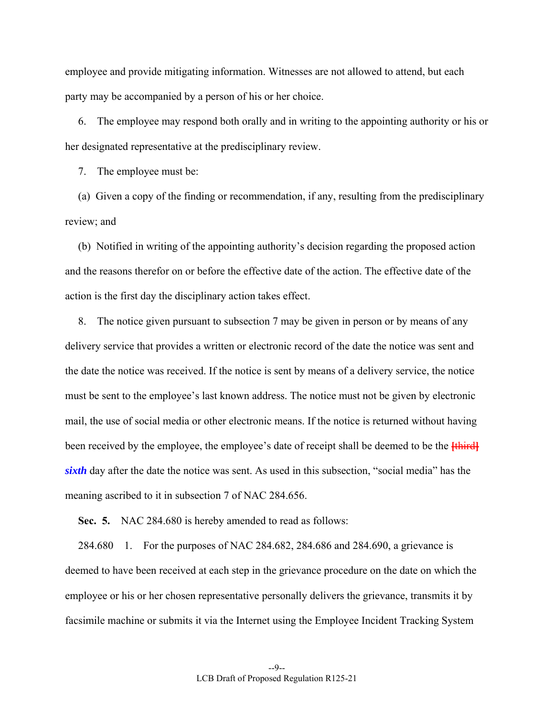employee and provide mitigating information. Witnesses are not allowed to attend, but each party may be accompanied by a person of his or her choice.

 6. The employee may respond both orally and in writing to the appointing authority or his or her designated representative at the predisciplinary review.

7. The employee must be:

 (a) Given a copy of the finding or recommendation, if any, resulting from the predisciplinary review; and

 (b) Notified in writing of the appointing authority's decision regarding the proposed action and the reasons therefor on or before the effective date of the action. The effective date of the action is the first day the disciplinary action takes effect.

 8. The notice given pursuant to subsection 7 may be given in person or by means of any delivery service that provides a written or electronic record of the date the notice was sent and the date the notice was received. If the notice is sent by means of a delivery service, the notice must be sent to the employee's last known address. The notice must not be given by electronic mail, the use of social media or other electronic means. If the notice is returned without having been received by the employee, the employee's date of receipt shall be deemed to be the **[**third**]** *sixth* day after the date the notice was sent. As used in this subsection, "social media" has the meaning ascribed to it in subsection 7 of NAC 284.656.

 **Sec. 5.** NAC 284.680 is hereby amended to read as follows:

 284.680 1. For the purposes of NAC 284.682, 284.686 and 284.690, a grievance is deemed to have been received at each step in the grievance procedure on the date on which the employee or his or her chosen representative personally delivers the grievance, transmits it by facsimile machine or submits it via the Internet using the Employee Incident Tracking System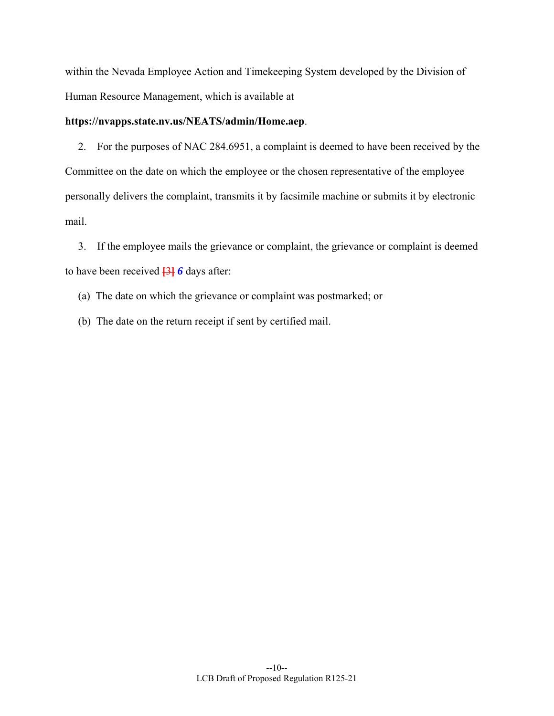within the Nevada Employee Action and Timekeeping System developed by the Division of Human Resource Management, which is available at

## **https://nvapps.state.nv.us/NEATS/admin/Home.aep**.

 2. For the purposes of NAC 284.6951, a complaint is deemed to have been received by the Committee on the date on which the employee or the chosen representative of the employee personally delivers the complaint, transmits it by facsimile machine or submits it by electronic mail.

 3. If the employee mails the grievance or complaint, the grievance or complaint is deemed to have been received **[**3**]** *6* days after:

(a) The date on which the grievance or complaint was postmarked; or

(b) The date on the return receipt if sent by certified mail.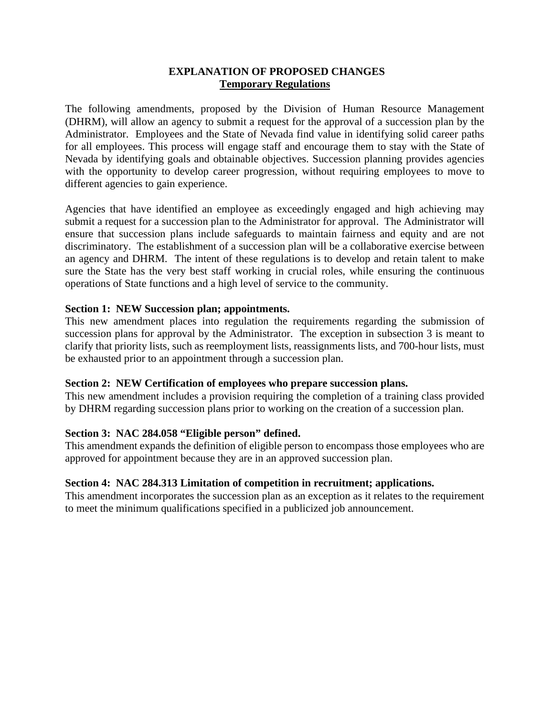## **EXPLANATION OF PROPOSED CHANGES Temporary Regulations**

The following amendments, proposed by the Division of Human Resource Management (DHRM), will allow an agency to submit a request for the approval of a succession plan by the Administrator. Employees and the State of Nevada find value in identifying solid career paths for all employees. This process will engage staff and encourage them to stay with the State of Nevada by identifying goals and obtainable objectives. Succession planning provides agencies with the opportunity to develop career progression, without requiring employees to move to different agencies to gain experience.

Agencies that have identified an employee as exceedingly engaged and high achieving may submit a request for a succession plan to the Administrator for approval. The Administrator will ensure that succession plans include safeguards to maintain fairness and equity and are not discriminatory. The establishment of a succession plan will be a collaborative exercise between an agency and DHRM. The intent of these regulations is to develop and retain talent to make sure the State has the very best staff working in crucial roles, while ensuring the continuous operations of State functions and a high level of service to the community.

### **Section 1: NEW Succession plan; appointments.**

This new amendment places into regulation the requirements regarding the submission of succession plans for approval by the Administrator. The exception in subsection 3 is meant to clarify that priority lists, such as reemployment lists, reassignments lists, and 700-hour lists, must be exhausted prior to an appointment through a succession plan.

#### **Section 2: NEW Certification of employees who prepare succession plans.**

This new amendment includes a provision requiring the completion of a training class provided by DHRM regarding succession plans prior to working on the creation of a succession plan.

#### **Section 3: NAC 284.058 "Eligible person" defined.**

This amendment expands the definition of eligible person to encompass those employees who are approved for appointment because they are in an approved succession plan.

#### **Section 4: NAC 284.313 Limitation of competition in recruitment; applications.**

This amendment incorporates the succession plan as an exception as it relates to the requirement to meet the minimum qualifications specified in a publicized job announcement.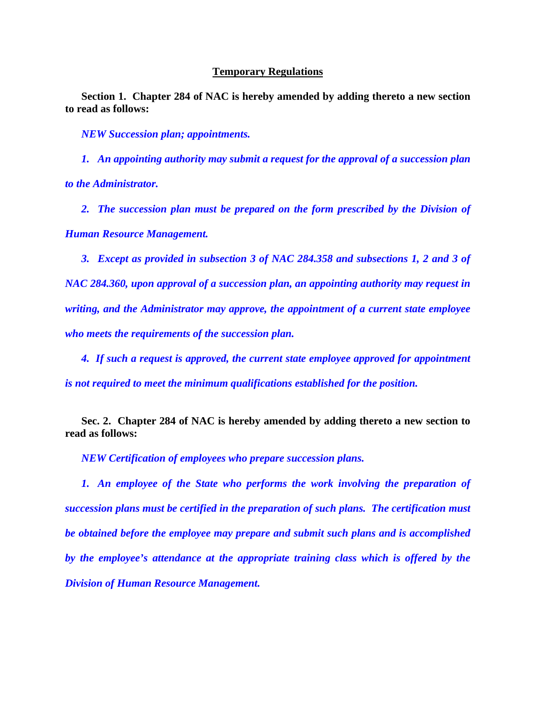#### **Temporary Regulations**

**Section 1. Chapter 284 of NAC is hereby amended by adding thereto a new section to read as follows:**

*NEW Succession plan; appointments.*

*1. An appointing authority may submit a request for the approval of a succession plan to the Administrator.*

2. The succession plan must be prepared on the form prescribed by the Division of *Human Resource Management.* 

*3. Except as provided in subsection 3 of NAC 284.358 and subsections 1, 2 and 3 of NAC 284.360, upon approval of a succession plan, an appointing authority may request in writing, and the Administrator may approve, the appointment of a current state employee who meets the requirements of the succession plan.*

*4. If such a request is approved, the current state employee approved for appointment is not required to meet the minimum qualifications established for the position.*

**Sec. 2. Chapter 284 of NAC is hereby amended by adding thereto a new section to read as follows:** 

*NEW Certification of employees who prepare succession plans.* 

**1.** An employee of the State who performs the work involving the preparation of *succession plans must be certified in the preparation of such plans. The certification must be obtained before the employee may prepare and submit such plans and is accomplished by the employee's attendance at the appropriate training class which is offered by the Division of Human Resource Management.*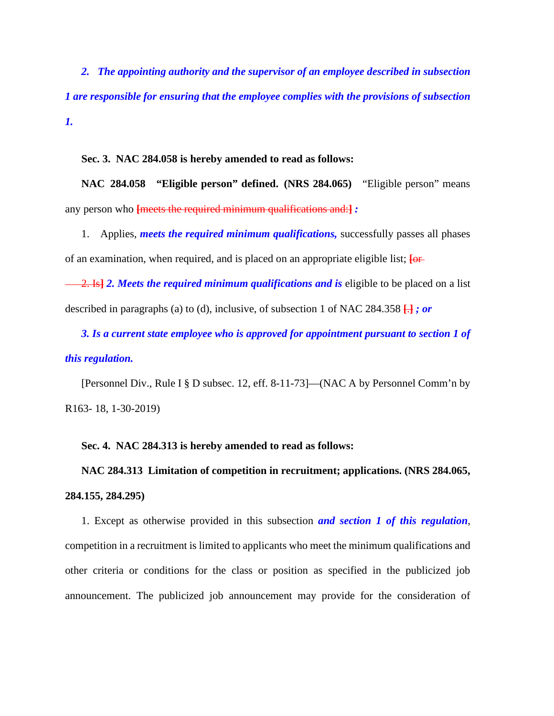*2. The appointing authority and the supervisor of an employee described in subsection 1 are responsible for ensuring that the employee complies with the provisions of subsection 1.* 

 **Sec. 3. NAC 284.058 is hereby amended to read as follows:** 

**NAC 284.058 "Eligible person" defined. (NRS 284.065)** "Eligible person" means any person who **[**meets the required minimum qualifications and:**]** *:*

1. Applies, *meets the required minimum qualifications,* successfully passes all phases of an examination, when required, and is placed on an appropriate eligible list; **[**or

 2. Is**]** *2. Meets the required minimum qualifications and is* eligible to be placed on a list described in paragraphs (a) to (d), inclusive, of subsection 1 of NAC 284.358 **[**.**]** *; or*

*3. Is a current state employee who is approved for appointment pursuant to section 1 of this regulation.*

[Personnel Div., Rule I § D subsec. 12, eff. 8-11-73]—(NAC A by Personnel Comm'n by R163- 18, 1-30-2019)

#### **Sec. 4. NAC 284.313 is hereby amended to read as follows:**

**NAC 284.313 Limitation of competition in recruitment; applications. (NRS 284.065, 284.155, 284.295)** 

1. Except as otherwise provided in this subsection *and section 1 of this regulation*, competition in a recruitment is limited to applicants who meet the minimum qualifications and other criteria or conditions for the class or position as specified in the publicized job announcement. The publicized job announcement may provide for the consideration of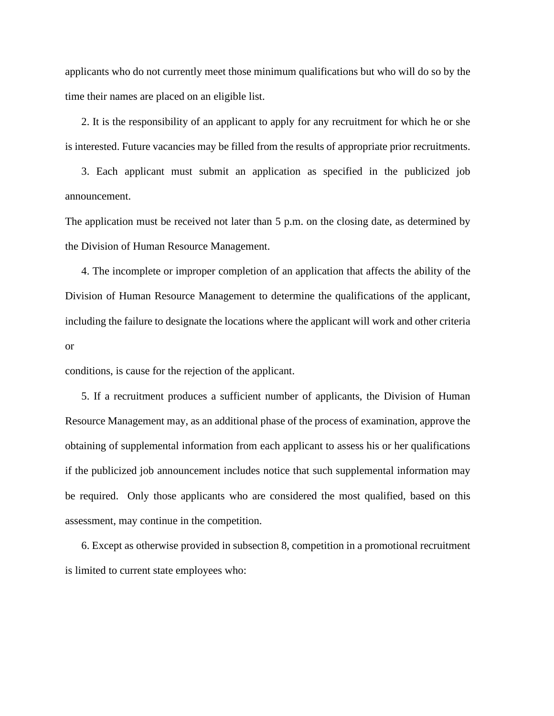applicants who do not currently meet those minimum qualifications but who will do so by the time their names are placed on an eligible list.

2. It is the responsibility of an applicant to apply for any recruitment for which he or she is interested. Future vacancies may be filled from the results of appropriate prior recruitments.

3. Each applicant must submit an application as specified in the publicized job announcement.

The application must be received not later than 5 p.m. on the closing date, as determined by the Division of Human Resource Management.

4. The incomplete or improper completion of an application that affects the ability of the Division of Human Resource Management to determine the qualifications of the applicant, including the failure to designate the locations where the applicant will work and other criteria or

conditions, is cause for the rejection of the applicant.

5. If a recruitment produces a sufficient number of applicants, the Division of Human Resource Management may, as an additional phase of the process of examination, approve the obtaining of supplemental information from each applicant to assess his or her qualifications if the publicized job announcement includes notice that such supplemental information may be required. Only those applicants who are considered the most qualified, based on this assessment, may continue in the competition.

6. Except as otherwise provided in subsection 8, competition in a promotional recruitment is limited to current state employees who: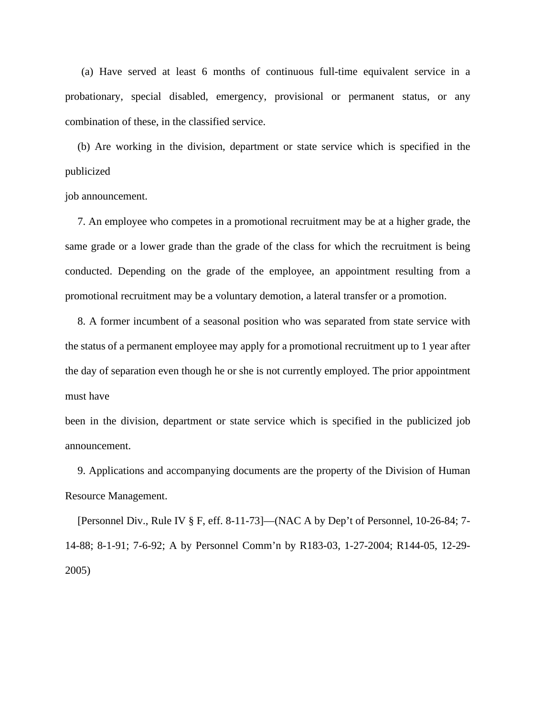(a) Have served at least 6 months of continuous full-time equivalent service in a probationary, special disabled, emergency, provisional or permanent status, or any combination of these, in the classified service.

(b) Are working in the division, department or state service which is specified in the publicized

job announcement.

7. An employee who competes in a promotional recruitment may be at a higher grade, the same grade or a lower grade than the grade of the class for which the recruitment is being conducted. Depending on the grade of the employee, an appointment resulting from a promotional recruitment may be a voluntary demotion, a lateral transfer or a promotion.

8. A former incumbent of a seasonal position who was separated from state service with the status of a permanent employee may apply for a promotional recruitment up to 1 year after the day of separation even though he or she is not currently employed. The prior appointment must have

been in the division, department or state service which is specified in the publicized job announcement.

9. Applications and accompanying documents are the property of the Division of Human Resource Management.

 [Personnel Div., Rule IV § F, eff. 8-11-73]—(NAC A by Dep't of Personnel, 10-26-84; 7- 14-88; 8-1-91; 7-6-92; A by Personnel Comm'n by R183-03, 1-27-2004; R144-05, 12-29- 2005)